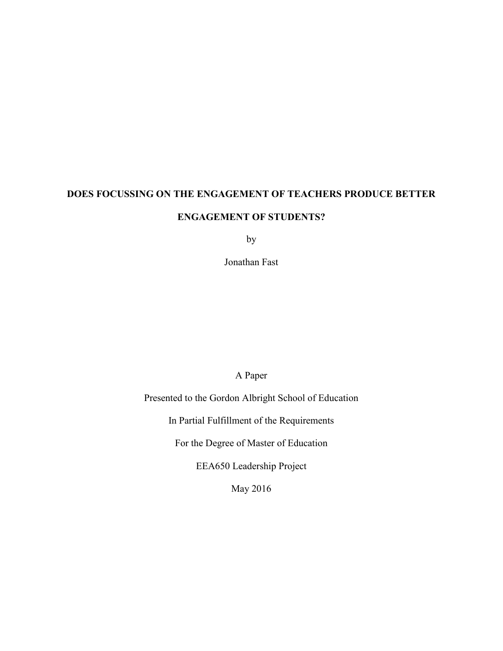# **DOES FOCUSSING ON THE ENGAGEMENT OF TEACHERS PRODUCE BETTER ENGAGEMENT OF STUDENTS?**

by

Jonathan Fast

### A Paper

Presented to the Gordon Albright School of Education

In Partial Fulfillment of the Requirements

For the Degree of Master of Education

EEA650 Leadership Project

May 2016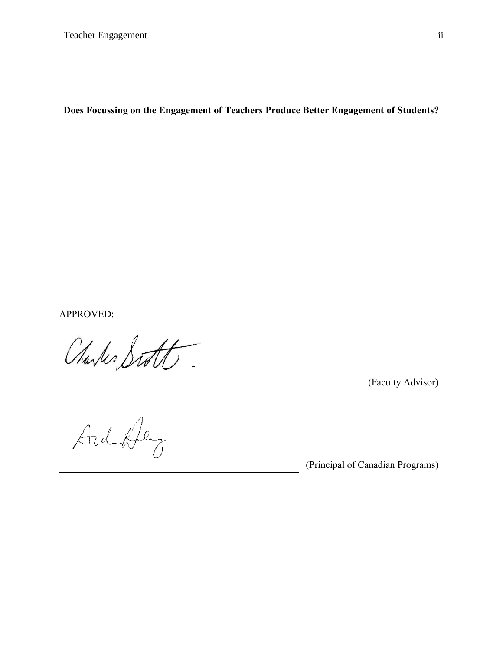**Does Focussing on the Engagement of Teachers Produce Better Engagement of Students?**

APPROVED:

Charles Siste

(Faculty Advisor)

Ardbley

(Principal of Canadian Programs)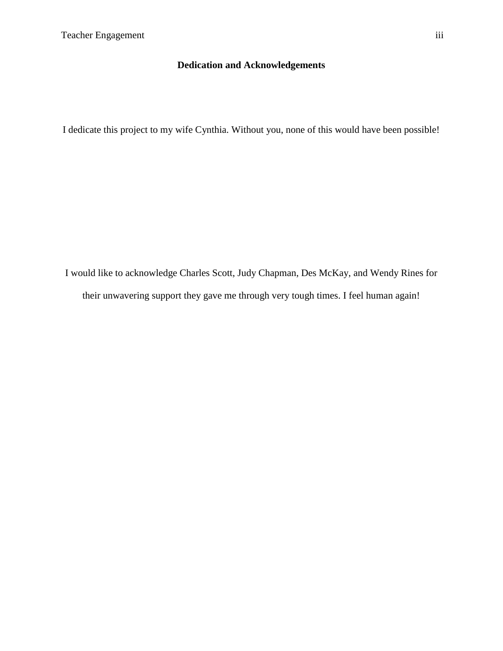### **Dedication and Acknowledgements**

<span id="page-2-0"></span>I dedicate this project to my wife Cynthia. Without you, none of this would have been possible!

I would like to acknowledge Charles Scott, Judy Chapman, Des McKay, and Wendy Rines for their unwavering support they gave me through very tough times. I feel human again!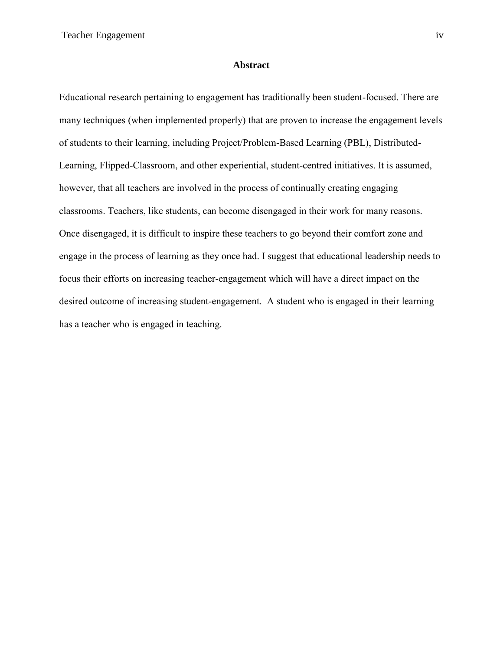#### **Abstract**

<span id="page-3-0"></span>Educational research pertaining to engagement has traditionally been student-focused. There are many techniques (when implemented properly) that are proven to increase the engagement levels of students to their learning, including Project/Problem-Based Learning (PBL), Distributed-Learning, Flipped-Classroom, and other experiential, student-centred initiatives. It is assumed, however, that all teachers are involved in the process of continually creating engaging classrooms. Teachers, like students, can become disengaged in their work for many reasons. Once disengaged, it is difficult to inspire these teachers to go beyond their comfort zone and engage in the process of learning as they once had. I suggest that educational leadership needs to focus their efforts on increasing teacher-engagement which will have a direct impact on the desired outcome of increasing student-engagement. A student who is engaged in their learning has a teacher who is engaged in teaching.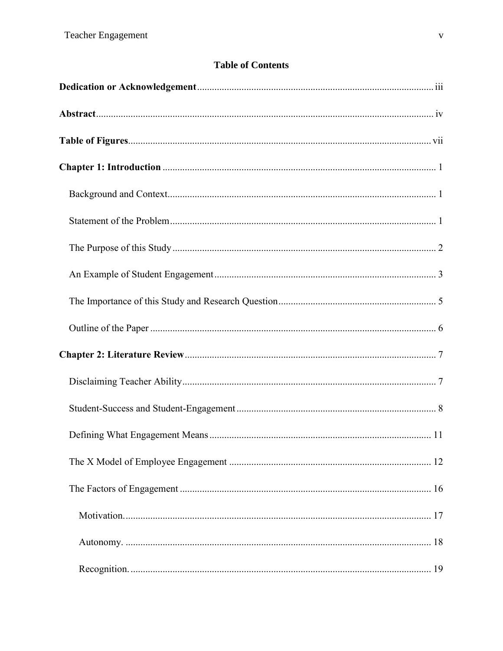### **Table of Contents**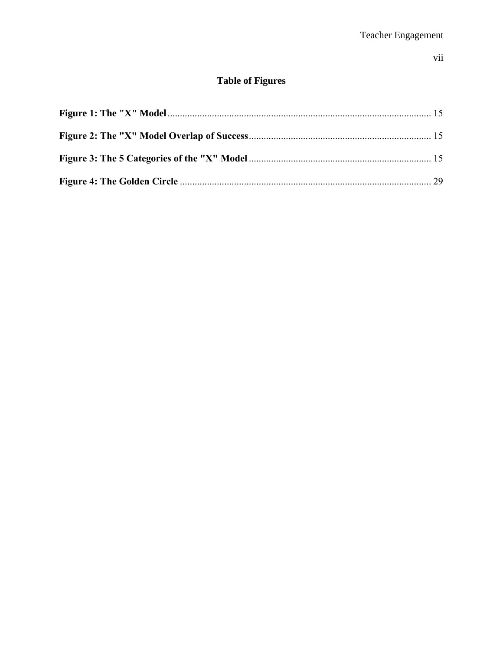### $vii$

## **Table of Figures**

<span id="page-6-0"></span>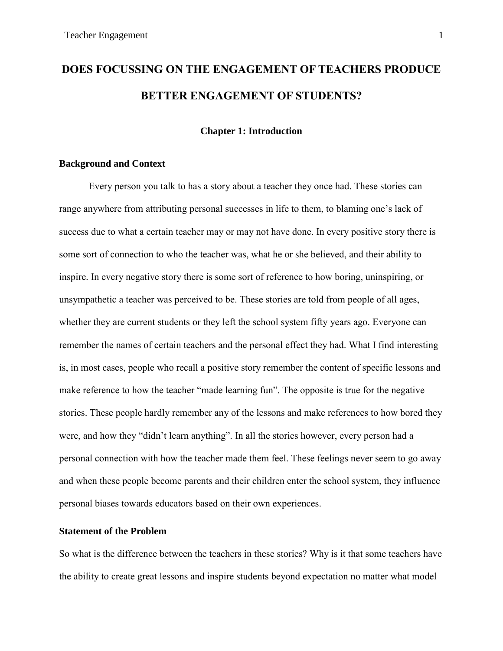# **DOES FOCUSSING ON THE ENGAGEMENT OF TEACHERS PRODUCE BETTER ENGAGEMENT OF STUDENTS?**

### **Chapter 1: Introduction**

### <span id="page-7-1"></span><span id="page-7-0"></span>**Background and Context**

Every person you talk to has a story about a teacher they once had. These stories can range anywhere from attributing personal successes in life to them, to blaming one's lack of success due to what a certain teacher may or may not have done. In every positive story there is some sort of connection to who the teacher was, what he or she believed, and their ability to inspire. In every negative story there is some sort of reference to how boring, uninspiring, or unsympathetic a teacher was perceived to be. These stories are told from people of all ages, whether they are current students or they left the school system fifty years ago. Everyone can remember the names of certain teachers and the personal effect they had. What I find interesting is, in most cases, people who recall a positive story remember the content of specific lessons and make reference to how the teacher "made learning fun". The opposite is true for the negative stories. These people hardly remember any of the lessons and make references to how bored they were, and how they "didn't learn anything". In all the stories however, every person had a personal connection with how the teacher made them feel. These feelings never seem to go away and when these people become parents and their children enter the school system, they influence personal biases towards educators based on their own experiences.

### <span id="page-7-2"></span>**Statement of the Problem**

So what is the difference between the teachers in these stories? Why is it that some teachers have the ability to create great lessons and inspire students beyond expectation no matter what model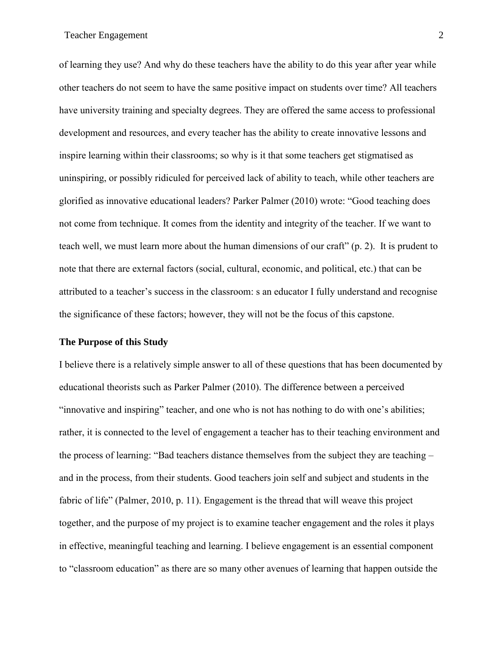of learning they use? And why do these teachers have the ability to do this year after year while other teachers do not seem to have the same positive impact on students over time? All teachers have university training and specialty degrees. They are offered the same access to professional development and resources, and every teacher has the ability to create innovative lessons and inspire learning within their classrooms; so why is it that some teachers get stigmatised as uninspiring, or possibly ridiculed for perceived lack of ability to teach, while other teachers are glorified as innovative educational leaders? Parker Palmer (2010) wrote: "Good teaching does not come from technique. It comes from the identity and integrity of the teacher. If we want to teach well, we must learn more about the human dimensions of our craft" (p. 2). It is prudent to note that there are external factors (social, cultural, economic, and political, etc.) that can be attributed to a teacher's success in the classroom: s an educator I fully understand and recognise the significance of these factors; however, they will not be the focus of this capstone.

### <span id="page-8-0"></span>**The Purpose of this Study**

I believe there is a relatively simple answer to all of these questions that has been documented by educational theorists such as Parker Palmer (2010). The difference between a perceived "innovative and inspiring" teacher, and one who is not has nothing to do with one's abilities; rather, it is connected to the level of engagement a teacher has to their teaching environment and the process of learning: "Bad teachers distance themselves from the subject they are teaching – and in the process, from their students. Good teachers join self and subject and students in the fabric of life" (Palmer, 2010, p. 11). Engagement is the thread that will weave this project together, and the purpose of my project is to examine teacher engagement and the roles it plays in effective, meaningful teaching and learning. I believe engagement is an essential component to "classroom education" as there are so many other avenues of learning that happen outside the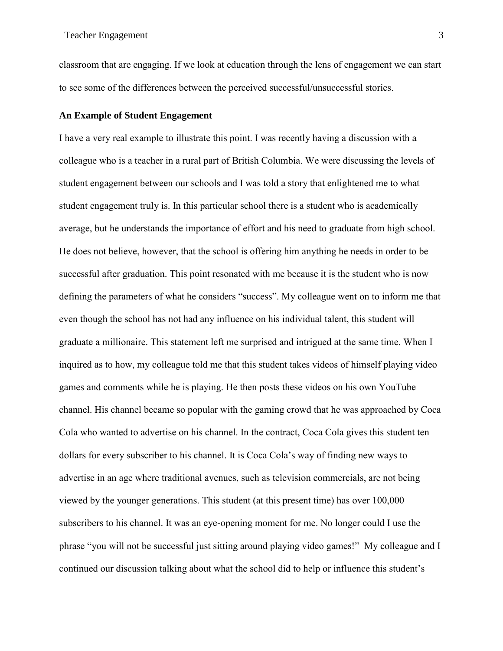classroom that are engaging. If we look at education through the lens of engagement we can start to see some of the differences between the perceived successful/unsuccessful stories.

### <span id="page-9-0"></span>**An Example of Student Engagement**

I have a very real example to illustrate this point. I was recently having a discussion with a colleague who is a teacher in a rural part of British Columbia. We were discussing the levels of student engagement between our schools and I was told a story that enlightened me to what student engagement truly is. In this particular school there is a student who is academically average, but he understands the importance of effort and his need to graduate from high school. He does not believe, however, that the school is offering him anything he needs in order to be successful after graduation. This point resonated with me because it is the student who is now defining the parameters of what he considers "success". My colleague went on to inform me that even though the school has not had any influence on his individual talent, this student will graduate a millionaire. This statement left me surprised and intrigued at the same time. When I inquired as to how, my colleague told me that this student takes videos of himself playing video games and comments while he is playing. He then posts these videos on his own YouTube channel. His channel became so popular with the gaming crowd that he was approached by Coca Cola who wanted to advertise on his channel. In the contract, Coca Cola gives this student ten dollars for every subscriber to his channel. It is Coca Cola's way of finding new ways to advertise in an age where traditional avenues, such as television commercials, are not being viewed by the younger generations. This student (at this present time) has over 100,000 subscribers to his channel. It was an eye-opening moment for me. No longer could I use the phrase "you will not be successful just sitting around playing video games!" My colleague and I continued our discussion talking about what the school did to help or influence this student's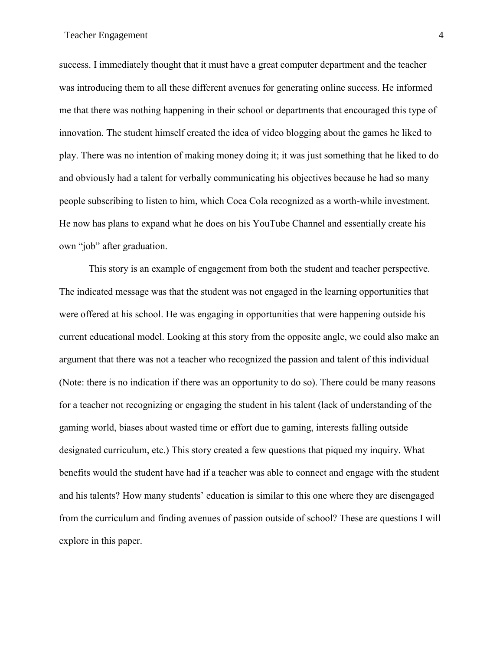success. I immediately thought that it must have a great computer department and the teacher was introducing them to all these different avenues for generating online success. He informed me that there was nothing happening in their school or departments that encouraged this type of innovation. The student himself created the idea of video blogging about the games he liked to play. There was no intention of making money doing it; it was just something that he liked to do and obviously had a talent for verbally communicating his objectives because he had so many people subscribing to listen to him, which Coca Cola recognized as a worth-while investment. He now has plans to expand what he does on his YouTube Channel and essentially create his own "job" after graduation.

This story is an example of engagement from both the student and teacher perspective. The indicated message was that the student was not engaged in the learning opportunities that were offered at his school. He was engaging in opportunities that were happening outside his current educational model. Looking at this story from the opposite angle, we could also make an argument that there was not a teacher who recognized the passion and talent of this individual (Note: there is no indication if there was an opportunity to do so). There could be many reasons for a teacher not recognizing or engaging the student in his talent (lack of understanding of the gaming world, biases about wasted time or effort due to gaming, interests falling outside designated curriculum, etc.) This story created a few questions that piqued my inquiry. What benefits would the student have had if a teacher was able to connect and engage with the student and his talents? How many students' education is similar to this one where they are disengaged from the curriculum and finding avenues of passion outside of school? These are questions I will explore in this paper.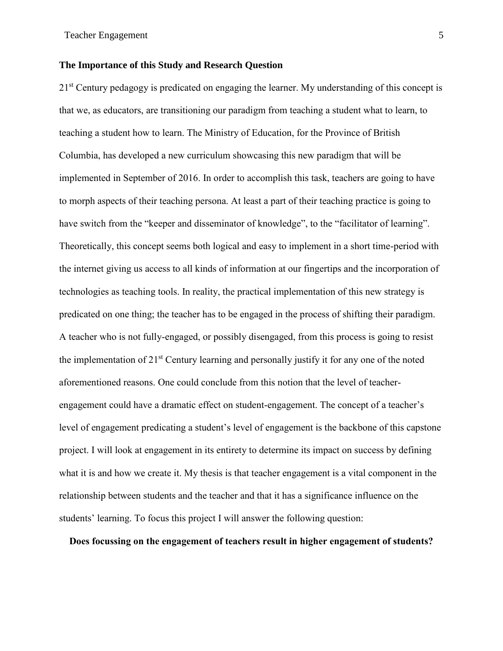### <span id="page-11-0"></span>**The Importance of this Study and Research Question**

21<sup>st</sup> Century pedagogy is predicated on engaging the learner. My understanding of this concept is that we, as educators, are transitioning our paradigm from teaching a student what to learn, to teaching a student how to learn. The Ministry of Education, for the Province of British Columbia, has developed a new curriculum showcasing this new paradigm that will be implemented in September of 2016. In order to accomplish this task, teachers are going to have to morph aspects of their teaching persona. At least a part of their teaching practice is going to have switch from the "keeper and disseminator of knowledge", to the "facilitator of learning". Theoretically, this concept seems both logical and easy to implement in a short time-period with the internet giving us access to all kinds of information at our fingertips and the incorporation of technologies as teaching tools. In reality, the practical implementation of this new strategy is predicated on one thing; the teacher has to be engaged in the process of shifting their paradigm. A teacher who is not fully-engaged, or possibly disengaged, from this process is going to resist the implementation of 21st Century learning and personally justify it for any one of the noted aforementioned reasons. One could conclude from this notion that the level of teacherengagement could have a dramatic effect on student-engagement. The concept of a teacher's level of engagement predicating a student's level of engagement is the backbone of this capstone project. I will look at engagement in its entirety to determine its impact on success by defining what it is and how we create it. My thesis is that teacher engagement is a vital component in the relationship between students and the teacher and that it has a significance influence on the students' learning. To focus this project I will answer the following question:

**Does focussing on the engagement of teachers result in higher engagement of students?**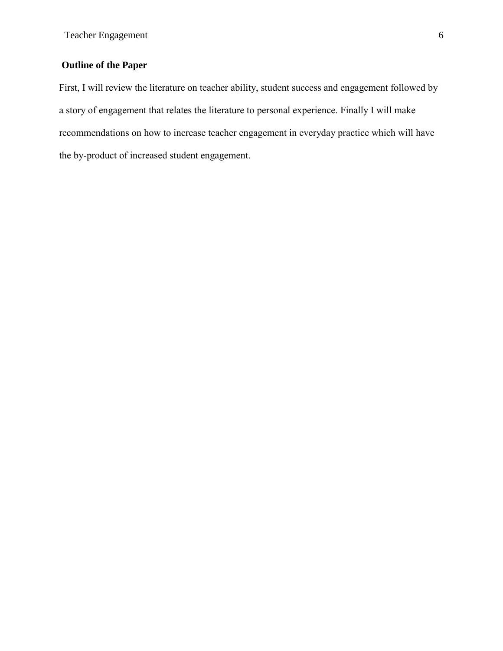### <span id="page-12-0"></span>**Outline of the Paper**

First, I will review the literature on teacher ability, student success and engagement followed by a story of engagement that relates the literature to personal experience. Finally I will make recommendations on how to increase teacher engagement in everyday practice which will have the by-product of increased student engagement.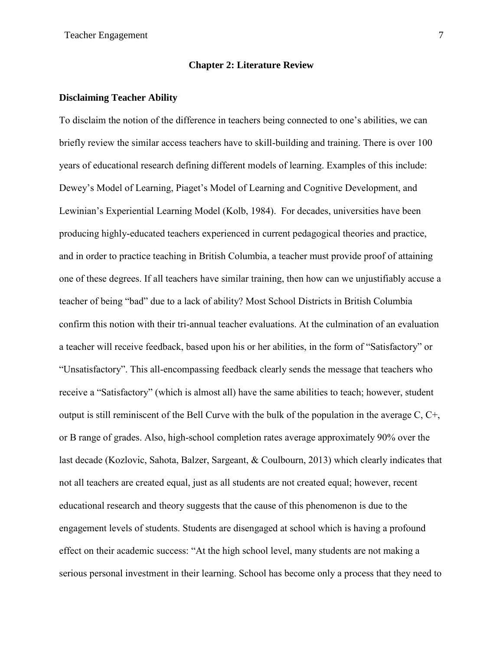### **Chapter 2: Literature Review**

### <span id="page-13-1"></span><span id="page-13-0"></span>**Disclaiming Teacher Ability**

To disclaim the notion of the difference in teachers being connected to one's abilities, we can briefly review the similar access teachers have to skill-building and training. There is over 100 years of educational research defining different models of learning. Examples of this include: Dewey's Model of Learning, Piaget's Model of Learning and Cognitive Development, and Lewinian's Experiential Learning Model (Kolb, 1984). For decades, universities have been producing highly-educated teachers experienced in current pedagogical theories and practice, and in order to practice teaching in British Columbia, a teacher must provide proof of attaining one of these degrees. If all teachers have similar training, then how can we unjustifiably accuse a teacher of being "bad" due to a lack of ability? Most School Districts in British Columbia confirm this notion with their tri-annual teacher evaluations. At the culmination of an evaluation a teacher will receive feedback, based upon his or her abilities, in the form of "Satisfactory" or "Unsatisfactory". This all-encompassing feedback clearly sends the message that teachers who receive a "Satisfactory" (which is almost all) have the same abilities to teach; however, student output is still reminiscent of the Bell Curve with the bulk of the population in the average C, C+, or B range of grades. Also, high-school completion rates average approximately 90% over the last decade (Kozlovic, Sahota, Balzer, Sargeant, & Coulbourn, 2013) which clearly indicates that not all teachers are created equal, just as all students are not created equal; however, recent educational research and theory suggests that the cause of this phenomenon is due to the engagement levels of students. Students are disengaged at school which is having a profound effect on their academic success: "At the high school level, many students are not making a serious personal investment in their learning. School has become only a process that they need to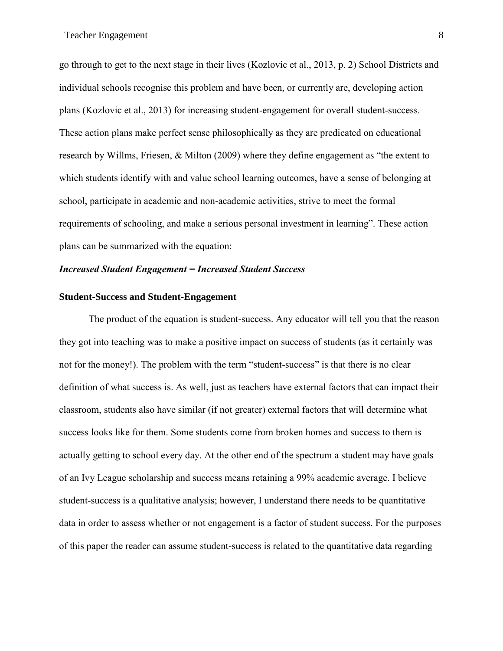go through to get to the next stage in their lives (Kozlovic et al., 2013, p. 2) School Districts and individual schools recognise this problem and have been, or currently are, developing action plans (Kozlovic et al., 2013) for increasing student-engagement for overall student-success. These action plans make perfect sense philosophically as they are predicated on educational research by Willms, Friesen, & Milton (2009) where they define engagement as "the extent to which students identify with and value school learning outcomes, have a sense of belonging at school, participate in academic and non-academic activities, strive to meet the formal requirements of schooling, and make a serious personal investment in learning". These action plans can be summarized with the equation:

### *Increased Student Engagement = Increased Student Success*

### <span id="page-14-0"></span>**Student-Success and Student-Engagement**

The product of the equation is student-success. Any educator will tell you that the reason they got into teaching was to make a positive impact on success of students (as it certainly was not for the money!). The problem with the term "student-success" is that there is no clear definition of what success is. As well, just as teachers have external factors that can impact their classroom, students also have similar (if not greater) external factors that will determine what success looks like for them. Some students come from broken homes and success to them is actually getting to school every day. At the other end of the spectrum a student may have goals of an Ivy League scholarship and success means retaining a 99% academic average. I believe student-success is a qualitative analysis; however, I understand there needs to be quantitative data in order to assess whether or not engagement is a factor of student success. For the purposes of this paper the reader can assume student-success is related to the quantitative data regarding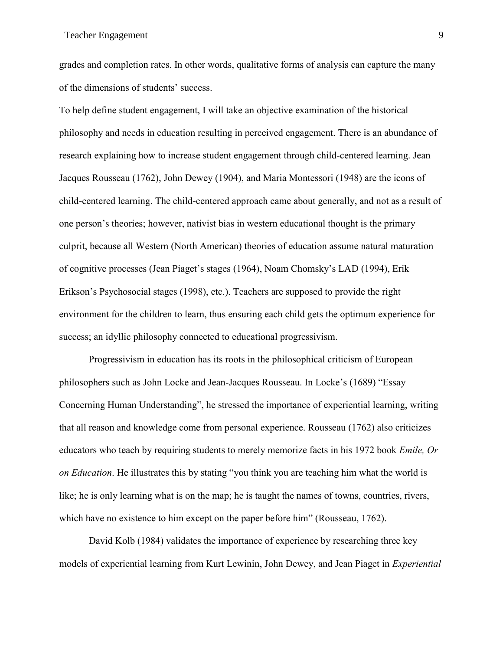grades and completion rates. In other words, qualitative forms of analysis can capture the many of the dimensions of students' success.

To help define student engagement, I will take an objective examination of the historical philosophy and needs in education resulting in perceived engagement. There is an abundance of research explaining how to increase student engagement through child-centered learning. Jean Jacques Rousseau (1762), John Dewey (1904), and Maria Montessori (1948) are the icons of child-centered learning. The child-centered approach came about generally, and not as a result of one person's theories; however, nativist bias in western educational thought is the primary culprit, because all Western (North American) theories of education assume natural maturation of cognitive processes (Jean Piaget's stages (1964), Noam Chomsky's LAD (1994), Erik Erikson's Psychosocial stages (1998), etc.). Teachers are supposed to provide the right environment for the children to learn, thus ensuring each child gets the optimum experience for success; an idyllic philosophy connected to educational progressivism.

Progressivism in education has its roots in the philosophical criticism of European philosophers such as John Locke and Jean-Jacques Rousseau. In Locke's (1689) "Essay Concerning Human Understanding", he stressed the importance of experiential learning, writing that all reason and knowledge come from personal experience. Rousseau (1762) also criticizes educators who teach by requiring students to merely memorize facts in his 1972 book *Emile, Or on Education*. He illustrates this by stating "you think you are teaching him what the world is like; he is only learning what is on the map; he is taught the names of towns, countries, rivers, which have no existence to him except on the paper before him" (Rousseau, 1762).

David Kolb (1984) validates the importance of experience by researching three key models of experiential learning from Kurt Lewinin, John Dewey, and Jean Piaget in *Experiential*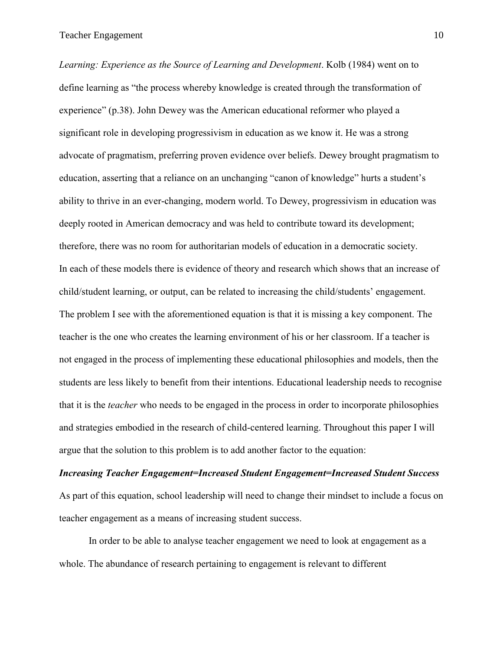*Learning: Experience as the Source of Learning and Development*. Kolb (1984) went on to define learning as "the process whereby knowledge is created through the transformation of experience" (p.38). John Dewey was the American educational reformer who played a significant role in developing progressivism in education as we know it. He was a strong advocate of pragmatism, preferring proven evidence over beliefs. Dewey brought pragmatism to education, asserting that a reliance on an unchanging "canon of knowledge" hurts a student's ability to thrive in an ever-changing, modern world. To Dewey, progressivism in education was deeply rooted in American democracy and was held to contribute toward its development; therefore, there was no room for authoritarian models of education in a democratic society. In each of these models there is evidence of theory and research which shows that an increase of child/student learning, or output, can be related to increasing the child/students' engagement. The problem I see with the aforementioned equation is that it is missing a key component. The teacher is the one who creates the learning environment of his or her classroom. If a teacher is not engaged in the process of implementing these educational philosophies and models, then the students are less likely to benefit from their intentions. Educational leadership needs to recognise that it is the *teacher* who needs to be engaged in the process in order to incorporate philosophies and strategies embodied in the research of child-centered learning. Throughout this paper I will argue that the solution to this problem is to add another factor to the equation:

*Increasing Teacher Engagement=Increased Student Engagement=Increased Student Success* As part of this equation, school leadership will need to change their mindset to include a focus on teacher engagement as a means of increasing student success.

In order to be able to analyse teacher engagement we need to look at engagement as a whole. The abundance of research pertaining to engagement is relevant to different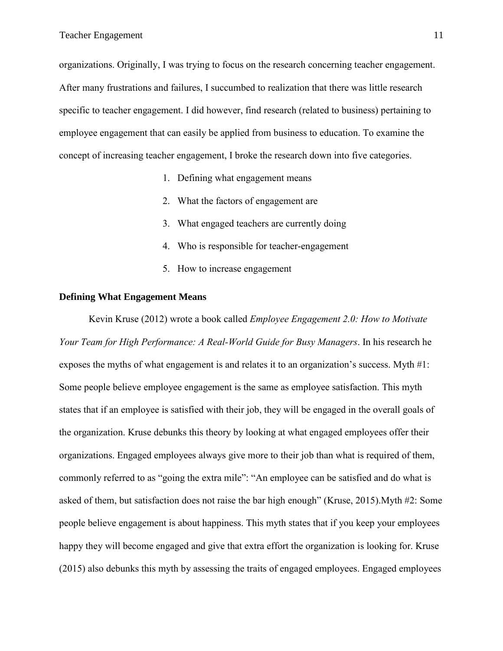organizations. Originally, I was trying to focus on the research concerning teacher engagement. After many frustrations and failures, I succumbed to realization that there was little research specific to teacher engagement. I did however, find research (related to business) pertaining to employee engagement that can easily be applied from business to education. To examine the concept of increasing teacher engagement, I broke the research down into five categories.

- 1. Defining what engagement means
- 2. What the factors of engagement are
- 3. What engaged teachers are currently doing
- 4. Who is responsible for teacher-engagement
- 5. How to increase engagement

### <span id="page-17-0"></span>**Defining What Engagement Means**

Kevin Kruse (2012) wrote a book called *Employee Engagement 2.0: How to Motivate Your Team for High Performance: A Real-World Guide for Busy Managers*. In his research he exposes the myths of what engagement is and relates it to an organization's success. Myth #1: Some people believe employee engagement is the same as employee satisfaction. This myth states that if an employee is satisfied with their job, they will be engaged in the overall goals of the organization. Kruse debunks this theory by looking at what engaged employees offer their organizations. Engaged employees always give more to their job than what is required of them, commonly referred to as "going the extra mile": "An employee can be satisfied and do what is asked of them, but satisfaction does not raise the bar high enough" (Kruse, 2015).Myth #2: Some people believe engagement is about happiness. This myth states that if you keep your employees happy they will become engaged and give that extra effort the organization is looking for. Kruse (2015) also debunks this myth by assessing the traits of engaged employees. Engaged employees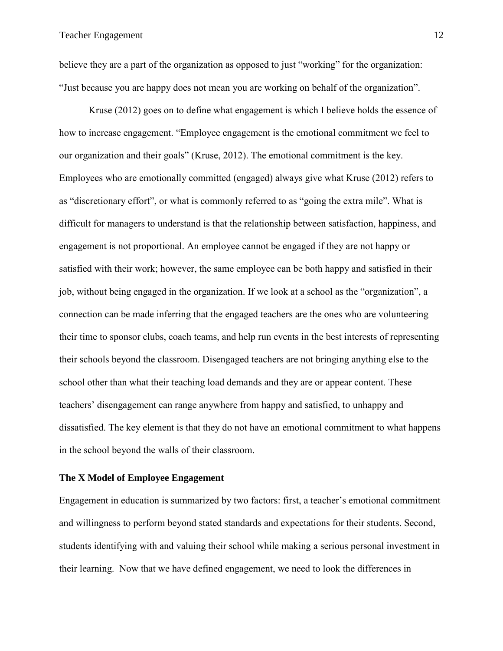believe they are a part of the organization as opposed to just "working" for the organization: "Just because you are happy does not mean you are working on behalf of the organization".

Kruse (2012) goes on to define what engagement is which I believe holds the essence of how to increase engagement. "Employee engagement is the emotional commitment we feel to our organization and their goals" (Kruse, 2012). The emotional commitment is the key. Employees who are emotionally committed (engaged) always give what Kruse (2012) refers to as "discretionary effort", or what is commonly referred to as "going the extra mile". What is difficult for managers to understand is that the relationship between satisfaction, happiness, and engagement is not proportional. An employee cannot be engaged if they are not happy or satisfied with their work; however, the same employee can be both happy and satisfied in their job, without being engaged in the organization. If we look at a school as the "organization", a connection can be made inferring that the engaged teachers are the ones who are volunteering their time to sponsor clubs, coach teams, and help run events in the best interests of representing their schools beyond the classroom. Disengaged teachers are not bringing anything else to the school other than what their teaching load demands and they are or appear content. These teachers' disengagement can range anywhere from happy and satisfied, to unhappy and dissatisfied. The key element is that they do not have an emotional commitment to what happens in the school beyond the walls of their classroom.

### <span id="page-18-0"></span>**The X Model of Employee Engagement**

Engagement in education is summarized by two factors: first, a teacher's emotional commitment and willingness to perform beyond stated standards and expectations for their students. Second, students identifying with and valuing their school while making a serious personal investment in their learning. Now that we have defined engagement, we need to look the differences in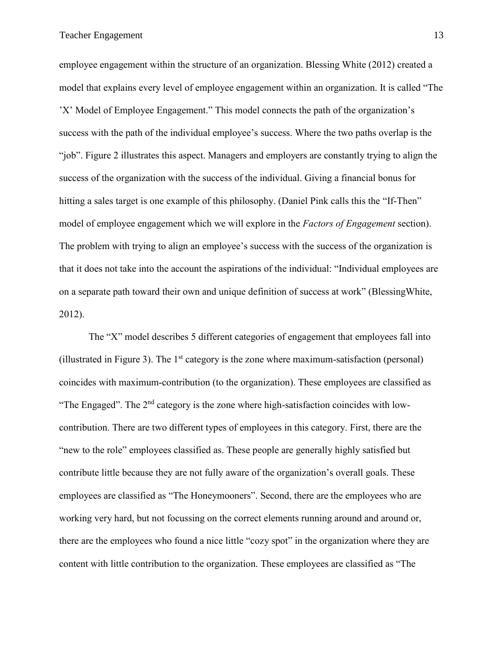employee engagement within the structure of an organization. Blessing White (2012) created a model that explains every level of employee engagement within an organization. It is called "The 'X' Model of Employee Engagement." This model connects the path of the organization's success with the path of the individual employee's success. Where the two paths overlap is the "job". Figure 2 illustrates this aspect. Managers and employers are constantly trying to align the success of the organization with the success of the individual. Giving a financial bonus for hitting a sales target is one example of this philosophy. (Daniel Pink calls this the "If-Then" model of employee engagement which we will explore in the *Factors of Engagement* section). The problem with trying to align an employee's success with the success of the organization is that it does not take into the account the aspirations of the individual: "Individual employees are on a separate path toward their own and unique definition of success at work" (BlessingWhite, 2012).

The "X" model describes 5 different categories of engagement that employees fall into (illustrated in Figure 3). The  $1<sup>st</sup>$  category is the zone where maximum-satisfaction (personal) coincides with maximum-contribution (to the organization). These employees are classified as "The Engaged". The  $2<sup>nd</sup>$  category is the zone where high-satisfaction coincides with lowcontribution. There are two different types of employees in this category. First, there are the "new to the role" employees classified as. These people are generally highly satisfied but contribute little because they are not fully aware of the organization's overall goals. These employees are classified as "The Honeymooners". Second, there are the employees who are working very hard, but not focussing on the correct elements running around and around or, there are the employees who found a nice little "cozy spot" in the organization where they are content with little contribution to the organization. These employees are classified as "The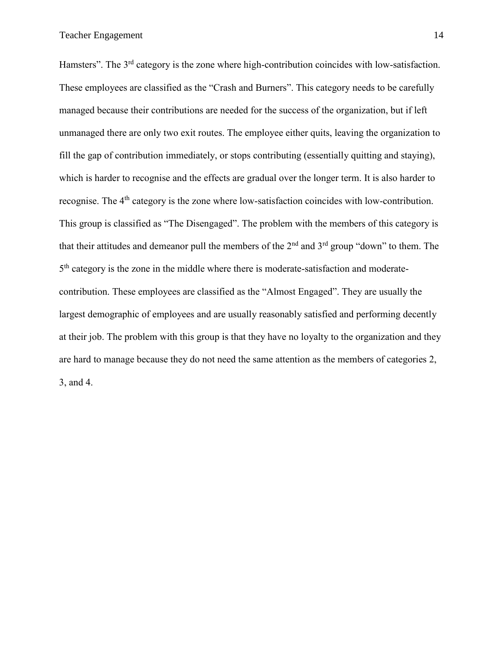Hamsters". The 3<sup>rd</sup> category is the zone where high-contribution coincides with low-satisfaction. These employees are classified as the "Crash and Burners". This category needs to be carefully managed because their contributions are needed for the success of the organization, but if left unmanaged there are only two exit routes. The employee either quits, leaving the organization to fill the gap of contribution immediately, or stops contributing (essentially quitting and staying), which is harder to recognise and the effects are gradual over the longer term. It is also harder to recognise. The 4<sup>th</sup> category is the zone where low-satisfaction coincides with low-contribution. This group is classified as "The Disengaged". The problem with the members of this category is that their attitudes and demeanor pull the members of the  $2<sup>nd</sup>$  and  $3<sup>rd</sup>$  group "down" to them. The 5<sup>th</sup> category is the zone in the middle where there is moderate-satisfaction and moderatecontribution. These employees are classified as the "Almost Engaged". They are usually the largest demographic of employees and are usually reasonably satisfied and performing decently at their job. The problem with this group is that they have no loyalty to the organization and they are hard to manage because they do not need the same attention as the members of categories 2, 3, and 4.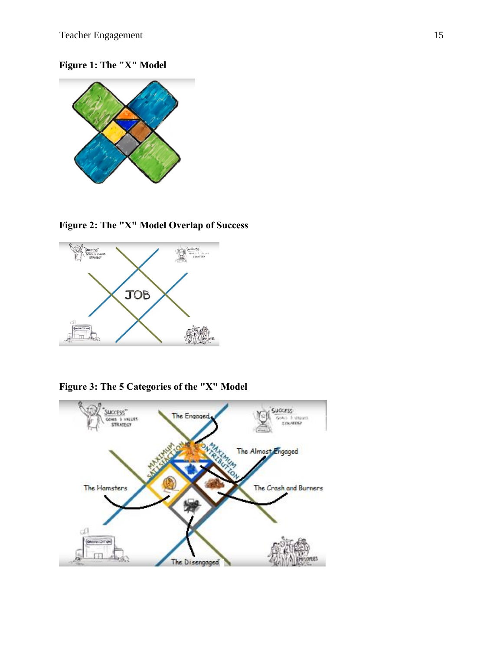<span id="page-21-0"></span>

### <span id="page-21-1"></span>**Figure 2: The "X" Model Overlap of Success**



<span id="page-21-2"></span>**Figure 3: The 5 Categories of the "X" Model**

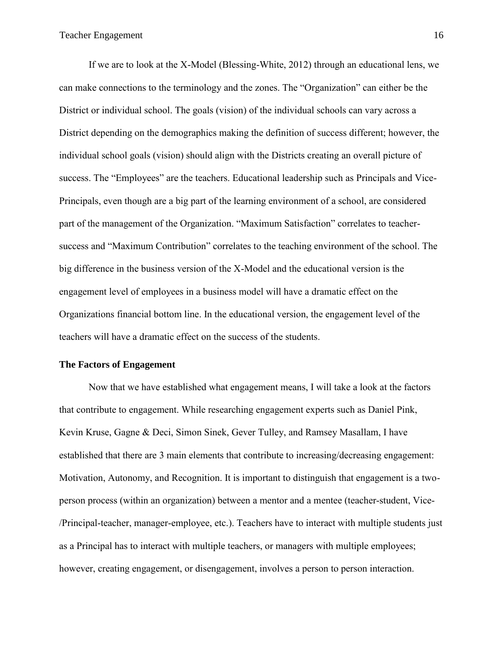If we are to look at the X-Model (Blessing-White, 2012) through an educational lens, we can make connections to the terminology and the zones. The "Organization" can either be the District or individual school. The goals (vision) of the individual schools can vary across a District depending on the demographics making the definition of success different; however, the individual school goals (vision) should align with the Districts creating an overall picture of success. The "Employees" are the teachers. Educational leadership such as Principals and Vice-Principals, even though are a big part of the learning environment of a school, are considered part of the management of the Organization. "Maximum Satisfaction" correlates to teachersuccess and "Maximum Contribution" correlates to the teaching environment of the school. The big difference in the business version of the X-Model and the educational version is the engagement level of employees in a business model will have a dramatic effect on the Organizations financial bottom line. In the educational version, the engagement level of the teachers will have a dramatic effect on the success of the students.

### <span id="page-22-0"></span>**The Factors of Engagement**

Now that we have established what engagement means, I will take a look at the factors that contribute to engagement. While researching engagement experts such as Daniel Pink, Kevin Kruse, Gagne & Deci, Simon Sinek, Gever Tulley, and Ramsey Masallam, I have established that there are 3 main elements that contribute to increasing/decreasing engagement: Motivation, Autonomy, and Recognition. It is important to distinguish that engagement is a twoperson process (within an organization) between a mentor and a mentee (teacher-student, Vice- /Principal-teacher, manager-employee, etc.). Teachers have to interact with multiple students just as a Principal has to interact with multiple teachers, or managers with multiple employees; however, creating engagement, or disengagement, involves a person to person interaction.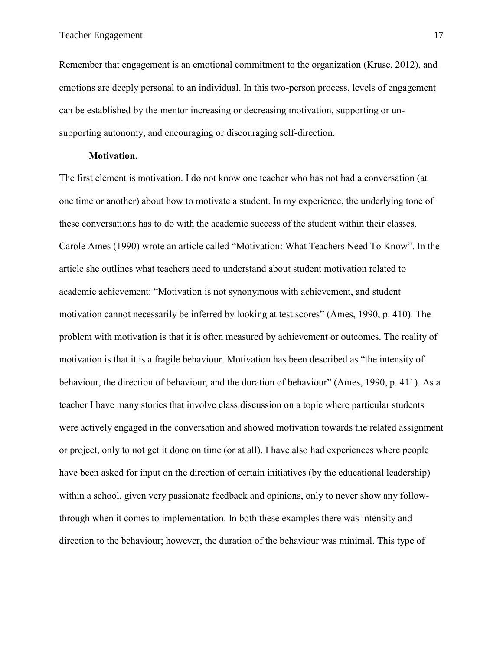Remember that engagement is an emotional commitment to the organization (Kruse, 2012), and emotions are deeply personal to an individual. In this two-person process, levels of engagement can be established by the mentor increasing or decreasing motivation, supporting or unsupporting autonomy, and encouraging or discouraging self-direction.

### **Motivation.**

<span id="page-23-0"></span>The first element is motivation. I do not know one teacher who has not had a conversation (at one time or another) about how to motivate a student. In my experience, the underlying tone of these conversations has to do with the academic success of the student within their classes. Carole Ames (1990) wrote an article called "Motivation: What Teachers Need To Know". In the article she outlines what teachers need to understand about student motivation related to academic achievement: "Motivation is not synonymous with achievement, and student motivation cannot necessarily be inferred by looking at test scores" (Ames, 1990, p. 410). The problem with motivation is that it is often measured by achievement or outcomes. The reality of motivation is that it is a fragile behaviour. Motivation has been described as "the intensity of behaviour, the direction of behaviour, and the duration of behaviour" (Ames, 1990, p. 411). As a teacher I have many stories that involve class discussion on a topic where particular students were actively engaged in the conversation and showed motivation towards the related assignment or project, only to not get it done on time (or at all). I have also had experiences where people have been asked for input on the direction of certain initiatives (by the educational leadership) within a school, given very passionate feedback and opinions, only to never show any followthrough when it comes to implementation. In both these examples there was intensity and direction to the behaviour; however, the duration of the behaviour was minimal. This type of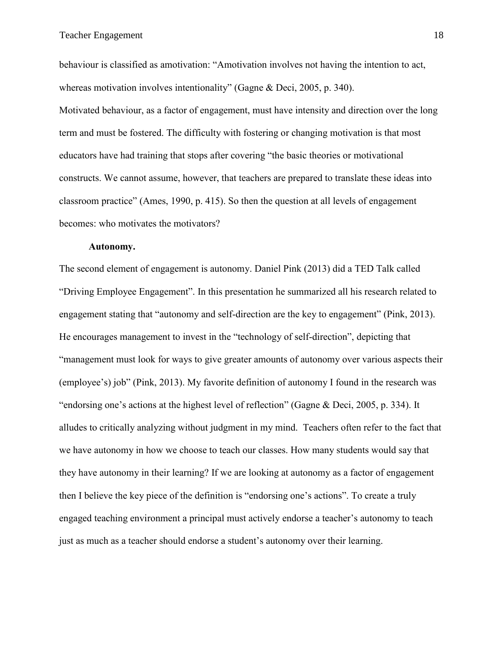behaviour is classified as amotivation: "Amotivation involves not having the intention to act, whereas motivation involves intentionality" (Gagne & Deci, 2005, p. 340).

Motivated behaviour, as a factor of engagement, must have intensity and direction over the long term and must be fostered. The difficulty with fostering or changing motivation is that most educators have had training that stops after covering "the basic theories or motivational constructs. We cannot assume, however, that teachers are prepared to translate these ideas into classroom practice" (Ames, 1990, p. 415). So then the question at all levels of engagement becomes: who motivates the motivators?

### **Autonomy.**

<span id="page-24-0"></span>The second element of engagement is autonomy. Daniel Pink (2013) did a TED Talk called "Driving Employee Engagement". In this presentation he summarized all his research related to engagement stating that "autonomy and self-direction are the key to engagement" (Pink, 2013). He encourages management to invest in the "technology of self-direction", depicting that "management must look for ways to give greater amounts of autonomy over various aspects their (employee's) job" (Pink, 2013). My favorite definition of autonomy I found in the research was "endorsing one's actions at the highest level of reflection" (Gagne & Deci, 2005, p. 334). It alludes to critically analyzing without judgment in my mind. Teachers often refer to the fact that we have autonomy in how we choose to teach our classes. How many students would say that they have autonomy in their learning? If we are looking at autonomy as a factor of engagement then I believe the key piece of the definition is "endorsing one's actions". To create a truly engaged teaching environment a principal must actively endorse a teacher's autonomy to teach just as much as a teacher should endorse a student's autonomy over their learning.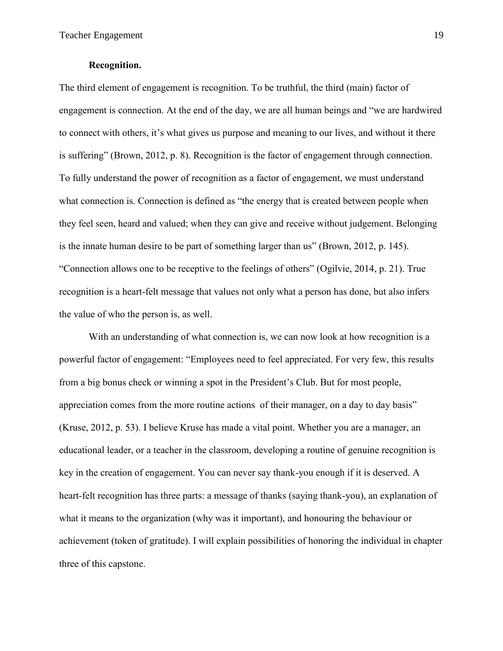### **Recognition.**

<span id="page-25-0"></span>The third element of engagement is recognition. To be truthful, the third (main) factor of engagement is connection. At the end of the day, we are all human beings and "we are hardwired to connect with others, it's what gives us purpose and meaning to our lives, and without it there is suffering" (Brown, 2012, p. 8). Recognition is the factor of engagement through connection. To fully understand the power of recognition as a factor of engagement, we must understand what connection is. Connection is defined as "the energy that is created between people when they feel seen, heard and valued; when they can give and receive without judgement. Belonging is the innate human desire to be part of something larger than us" (Brown, 2012, p. 145). "Connection allows one to be receptive to the feelings of others" (Ogilvie, 2014, p. 21). True recognition is a heart-felt message that values not only what a person has done, but also infers the value of who the person is, as well.

With an understanding of what connection is, we can now look at how recognition is a powerful factor of engagement: "Employees need to feel appreciated. For very few, this results from a big bonus check or winning a spot in the President's Club. But for most people, appreciation comes from the more routine actions of their manager, on a day to day basis" (Kruse, 2012, p. 53). I believe Kruse has made a vital point. Whether you are a manager, an educational leader, or a teacher in the classroom, developing a routine of genuine recognition is key in the creation of engagement. You can never say thank-you enough if it is deserved. A heart-felt recognition has three parts: a message of thanks (saying thank-you), an explanation of what it means to the organization (why was it important), and honouring the behaviour or achievement (token of gratitude). I will explain possibilities of honoring the individual in chapter three of this capstone.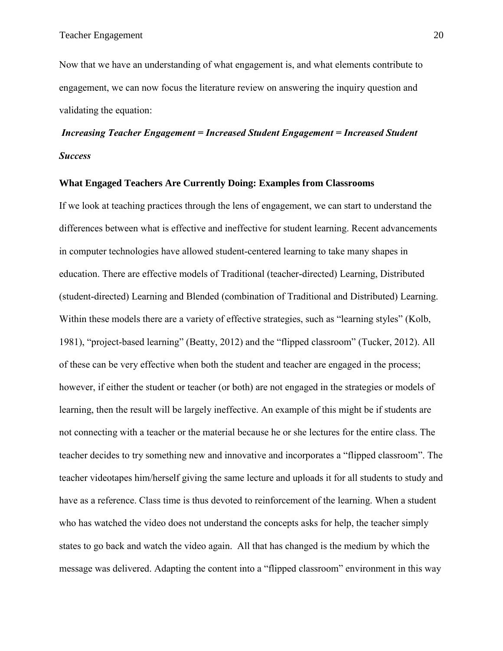Now that we have an understanding of what engagement is, and what elements contribute to engagement, we can now focus the literature review on answering the inquiry question and validating the equation:

# *Increasing Teacher Engagement = Increased Student Engagement = Increased Student Success*

### <span id="page-26-0"></span>**What Engaged Teachers Are Currently Doing: Examples from Classrooms**

If we look at teaching practices through the lens of engagement, we can start to understand the differences between what is effective and ineffective for student learning. Recent advancements in computer technologies have allowed student-centered learning to take many shapes in education. There are effective models of Traditional (teacher-directed) Learning, Distributed (student-directed) Learning and Blended (combination of Traditional and Distributed) Learning. Within these models there are a variety of effective strategies, such as "learning styles" (Kolb, 1981), "project-based learning" (Beatty, 2012) and the "flipped classroom" (Tucker, 2012). All of these can be very effective when both the student and teacher are engaged in the process; however, if either the student or teacher (or both) are not engaged in the strategies or models of learning, then the result will be largely ineffective. An example of this might be if students are not connecting with a teacher or the material because he or she lectures for the entire class. The teacher decides to try something new and innovative and incorporates a "flipped classroom". The teacher videotapes him/herself giving the same lecture and uploads it for all students to study and have as a reference. Class time is thus devoted to reinforcement of the learning. When a student who has watched the video does not understand the concepts asks for help, the teacher simply states to go back and watch the video again. All that has changed is the medium by which the message was delivered. Adapting the content into a "flipped classroom" environment in this way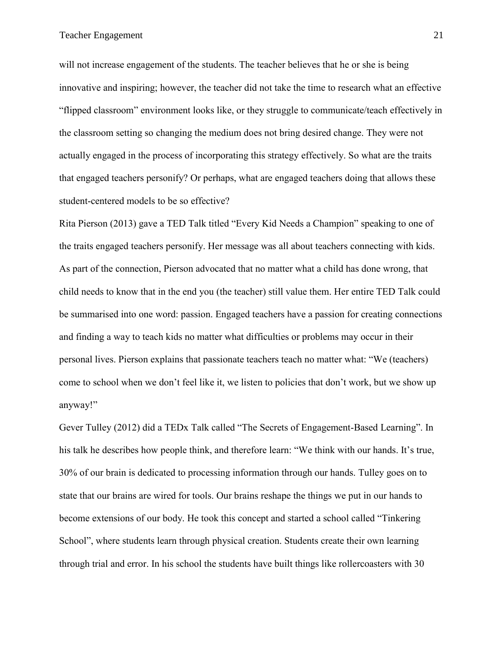will not increase engagement of the students. The teacher believes that he or she is being innovative and inspiring; however, the teacher did not take the time to research what an effective "flipped classroom" environment looks like, or they struggle to communicate/teach effectively in the classroom setting so changing the medium does not bring desired change. They were not actually engaged in the process of incorporating this strategy effectively. So what are the traits that engaged teachers personify? Or perhaps, what are engaged teachers doing that allows these student-centered models to be so effective?

Rita Pierson (2013) gave a TED Talk titled "Every Kid Needs a Champion" speaking to one of the traits engaged teachers personify. Her message was all about teachers connecting with kids. As part of the connection, Pierson advocated that no matter what a child has done wrong, that child needs to know that in the end you (the teacher) still value them. Her entire TED Talk could be summarised into one word: passion. Engaged teachers have a passion for creating connections and finding a way to teach kids no matter what difficulties or problems may occur in their personal lives. Pierson explains that passionate teachers teach no matter what: "We (teachers) come to school when we don't feel like it, we listen to policies that don't work, but we show up anyway!"

Gever Tulley (2012) did a TEDx Talk called "The Secrets of Engagement-Based Learning". In his talk he describes how people think, and therefore learn: "We think with our hands. It's true, 30% of our brain is dedicated to processing information through our hands. Tulley goes on to state that our brains are wired for tools. Our brains reshape the things we put in our hands to become extensions of our body. He took this concept and started a school called "Tinkering School", where students learn through physical creation. Students create their own learning through trial and error. In his school the students have built things like rollercoasters with 30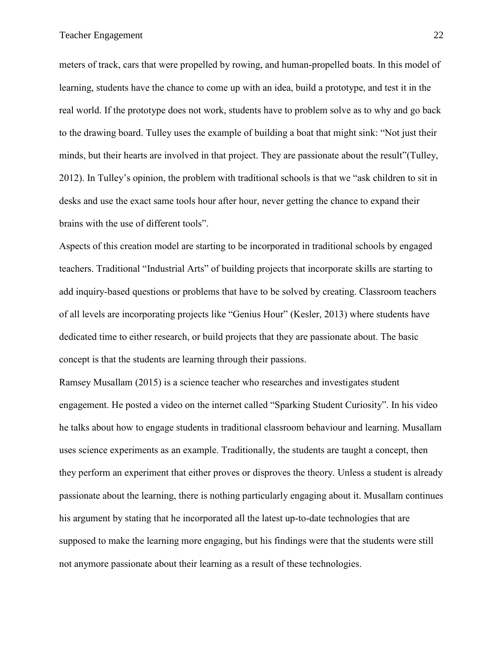meters of track, cars that were propelled by rowing, and human-propelled boats. In this model of learning, students have the chance to come up with an idea, build a prototype, and test it in the real world. If the prototype does not work, students have to problem solve as to why and go back to the drawing board. Tulley uses the example of building a boat that might sink: "Not just their minds, but their hearts are involved in that project. They are passionate about the result"(Tulley, 2012). In Tulley's opinion, the problem with traditional schools is that we "ask children to sit in desks and use the exact same tools hour after hour, never getting the chance to expand their brains with the use of different tools".

Aspects of this creation model are starting to be incorporated in traditional schools by engaged teachers. Traditional "Industrial Arts" of building projects that incorporate skills are starting to add inquiry-based questions or problems that have to be solved by creating. Classroom teachers of all levels are incorporating projects like "Genius Hour" (Kesler, 2013) where students have dedicated time to either research, or build projects that they are passionate about. The basic concept is that the students are learning through their passions.

Ramsey Musallam (2015) is a science teacher who researches and investigates student engagement. He posted a video on the internet called "Sparking Student Curiosity". In his video he talks about how to engage students in traditional classroom behaviour and learning. Musallam uses science experiments as an example. Traditionally, the students are taught a concept, then they perform an experiment that either proves or disproves the theory. Unless a student is already passionate about the learning, there is nothing particularly engaging about it. Musallam continues his argument by stating that he incorporated all the latest up-to-date technologies that are supposed to make the learning more engaging, but his findings were that the students were still not anymore passionate about their learning as a result of these technologies.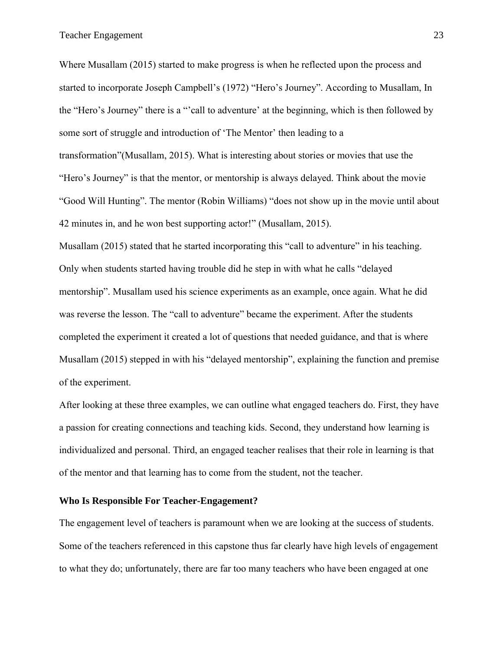Where Musallam (2015) started to make progress is when he reflected upon the process and started to incorporate Joseph Campbell's (1972) "Hero's Journey". According to Musallam, In the "Hero's Journey" there is a "'call to adventure' at the beginning, which is then followed by some sort of struggle and introduction of 'The Mentor' then leading to a transformation"(Musallam, 2015). What is interesting about stories or movies that use the "Hero's Journey" is that the mentor, or mentorship is always delayed. Think about the movie "Good Will Hunting". The mentor (Robin Williams) "does not show up in the movie until about 42 minutes in, and he won best supporting actor!" (Musallam, 2015).

Musallam (2015) stated that he started incorporating this "call to adventure" in his teaching. Only when students started having trouble did he step in with what he calls "delayed mentorship". Musallam used his science experiments as an example, once again. What he did was reverse the lesson. The "call to adventure" became the experiment. After the students completed the experiment it created a lot of questions that needed guidance, and that is where Musallam (2015) stepped in with his "delayed mentorship", explaining the function and premise of the experiment.

After looking at these three examples, we can outline what engaged teachers do. First, they have a passion for creating connections and teaching kids. Second, they understand how learning is individualized and personal. Third, an engaged teacher realises that their role in learning is that of the mentor and that learning has to come from the student, not the teacher.

### <span id="page-29-0"></span>**Who Is Responsible For Teacher-Engagement?**

The engagement level of teachers is paramount when we are looking at the success of students. Some of the teachers referenced in this capstone thus far clearly have high levels of engagement to what they do; unfortunately, there are far too many teachers who have been engaged at one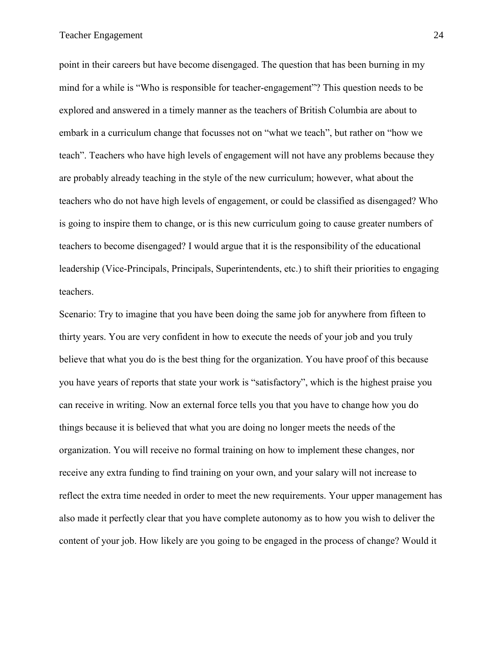point in their careers but have become disengaged. The question that has been burning in my mind for a while is "Who is responsible for teacher-engagement"? This question needs to be explored and answered in a timely manner as the teachers of British Columbia are about to embark in a curriculum change that focusses not on "what we teach", but rather on "how we teach". Teachers who have high levels of engagement will not have any problems because they are probably already teaching in the style of the new curriculum; however, what about the teachers who do not have high levels of engagement, or could be classified as disengaged? Who is going to inspire them to change, or is this new curriculum going to cause greater numbers of teachers to become disengaged? I would argue that it is the responsibility of the educational leadership (Vice-Principals, Principals, Superintendents, etc.) to shift their priorities to engaging teachers.

Scenario: Try to imagine that you have been doing the same job for anywhere from fifteen to thirty years. You are very confident in how to execute the needs of your job and you truly believe that what you do is the best thing for the organization. You have proof of this because you have years of reports that state your work is "satisfactory", which is the highest praise you can receive in writing. Now an external force tells you that you have to change how you do things because it is believed that what you are doing no longer meets the needs of the organization. You will receive no formal training on how to implement these changes, nor receive any extra funding to find training on your own, and your salary will not increase to reflect the extra time needed in order to meet the new requirements. Your upper management has also made it perfectly clear that you have complete autonomy as to how you wish to deliver the content of your job. How likely are you going to be engaged in the process of change? Would it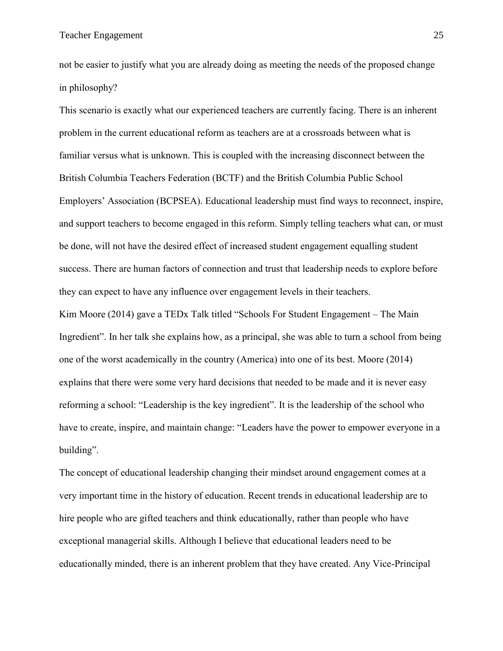not be easier to justify what you are already doing as meeting the needs of the proposed change in philosophy?

This scenario is exactly what our experienced teachers are currently facing. There is an inherent problem in the current educational reform as teachers are at a crossroads between what is familiar versus what is unknown. This is coupled with the increasing disconnect between the British Columbia Teachers Federation (BCTF) and the British Columbia Public School Employers' Association (BCPSEA). Educational leadership must find ways to reconnect, inspire, and support teachers to become engaged in this reform. Simply telling teachers what can, or must be done, will not have the desired effect of increased student engagement equalling student success. There are human factors of connection and trust that leadership needs to explore before they can expect to have any influence over engagement levels in their teachers.

Kim Moore (2014) gave a TEDx Talk titled "Schools For Student Engagement – The Main Ingredient". In her talk she explains how, as a principal, she was able to turn a school from being one of the worst academically in the country (America) into one of its best. Moore (2014) explains that there were some very hard decisions that needed to be made and it is never easy reforming a school: "Leadership is the key ingredient". It is the leadership of the school who have to create, inspire, and maintain change: "Leaders have the power to empower everyone in a building".

The concept of educational leadership changing their mindset around engagement comes at a very important time in the history of education. Recent trends in educational leadership are to hire people who are gifted teachers and think educationally, rather than people who have exceptional managerial skills. Although I believe that educational leaders need to be educationally minded, there is an inherent problem that they have created. Any Vice-Principal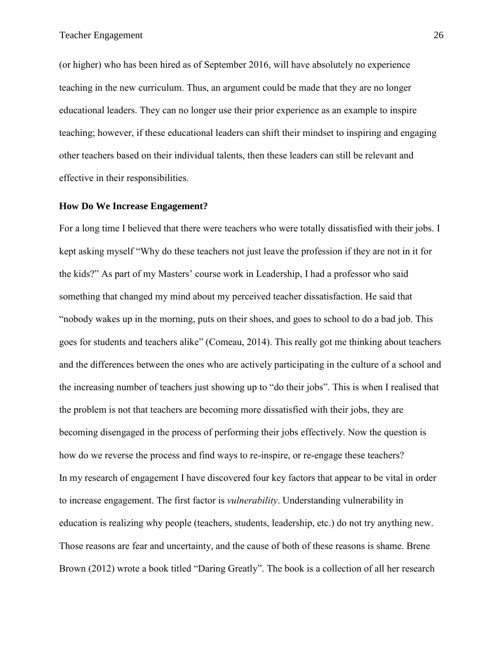(or higher) who has been hired as of September 2016, will have absolutely no experience teaching in the new curriculum. Thus, an argument could be made that they are no longer educational leaders. They can no longer use their prior experience as an example to inspire teaching; however, if these educational leaders can shift their mindset to inspiring and engaging other teachers based on their individual talents, then these leaders can still be relevant and effective in their responsibilities.

### <span id="page-32-0"></span>**How Do We Increase Engagement?**

For a long time I believed that there were teachers who were totally dissatisfied with their jobs. I kept asking myself "Why do these teachers not just leave the profession if they are not in it for the kids?" As part of my Masters' course work in Leadership, I had a professor who said something that changed my mind about my perceived teacher dissatisfaction. He said that "nobody wakes up in the morning, puts on their shoes, and goes to school to do a bad job. This goes for students and teachers alike" (Comeau, 2014). This really got me thinking about teachers and the differences between the ones who are actively participating in the culture of a school and the increasing number of teachers just showing up to "do their jobs". This is when I realised that the problem is not that teachers are becoming more dissatisfied with their jobs, they are becoming disengaged in the process of performing their jobs effectively. Now the question is how do we reverse the process and find ways to re-inspire, or re-engage these teachers? In my research of engagement I have discovered four key factors that appear to be vital in order to increase engagement. The first factor is *vulnerability*. Understanding vulnerability in education is realizing why people (teachers, students, leadership, etc.) do not try anything new. Those reasons are fear and uncertainty, and the cause of both of these reasons is shame. Brene Brown (2012) wrote a book titled "Daring Greatly". The book is a collection of all her research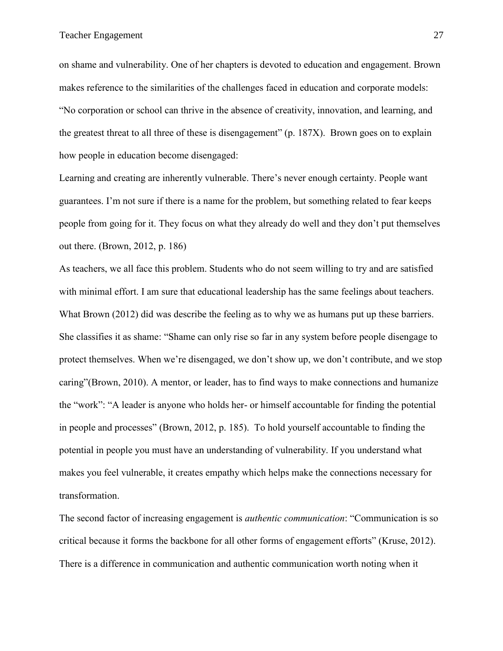on shame and vulnerability. One of her chapters is devoted to education and engagement. Brown makes reference to the similarities of the challenges faced in education and corporate models: "No corporation or school can thrive in the absence of creativity, innovation, and learning, and the greatest threat to all three of these is disengagement" (p. 187X). Brown goes on to explain how people in education become disengaged:

Learning and creating are inherently vulnerable. There's never enough certainty. People want guarantees. I'm not sure if there is a name for the problem, but something related to fear keeps people from going for it. They focus on what they already do well and they don't put themselves out there. (Brown, 2012, p. 186)

As teachers, we all face this problem. Students who do not seem willing to try and are satisfied with minimal effort. I am sure that educational leadership has the same feelings about teachers. What Brown (2012) did was describe the feeling as to why we as humans put up these barriers. She classifies it as shame: "Shame can only rise so far in any system before people disengage to protect themselves. When we're disengaged, we don't show up, we don't contribute, and we stop caring"(Brown, 2010). A mentor, or leader, has to find ways to make connections and humanize the "work": "A leader is anyone who holds her- or himself accountable for finding the potential in people and processes" (Brown, 2012, p. 185). To hold yourself accountable to finding the potential in people you must have an understanding of vulnerability. If you understand what makes you feel vulnerable, it creates empathy which helps make the connections necessary for transformation.

The second factor of increasing engagement is *authentic communication*: "Communication is so critical because it forms the backbone for all other forms of engagement efforts" (Kruse, 2012). There is a difference in communication and authentic communication worth noting when it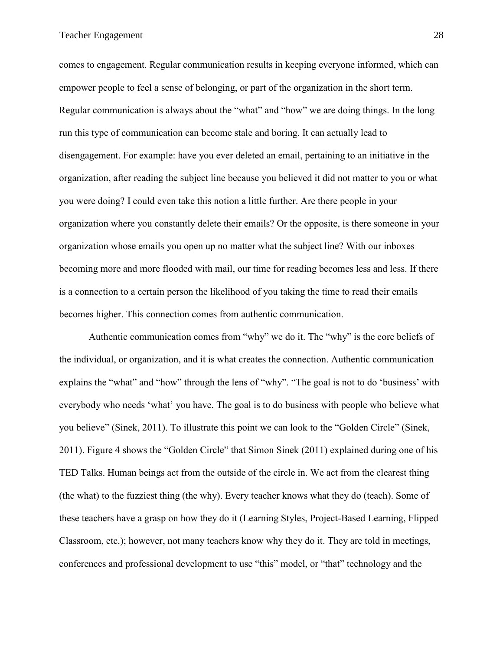comes to engagement. Regular communication results in keeping everyone informed, which can empower people to feel a sense of belonging, or part of the organization in the short term. Regular communication is always about the "what" and "how" we are doing things. In the long run this type of communication can become stale and boring. It can actually lead to disengagement. For example: have you ever deleted an email, pertaining to an initiative in the organization, after reading the subject line because you believed it did not matter to you or what you were doing? I could even take this notion a little further. Are there people in your organization where you constantly delete their emails? Or the opposite, is there someone in your organization whose emails you open up no matter what the subject line? With our inboxes becoming more and more flooded with mail, our time for reading becomes less and less. If there is a connection to a certain person the likelihood of you taking the time to read their emails becomes higher. This connection comes from authentic communication.

Authentic communication comes from "why" we do it. The "why" is the core beliefs of the individual, or organization, and it is what creates the connection. Authentic communication explains the "what" and "how" through the lens of "why". "The goal is not to do 'business' with everybody who needs 'what' you have. The goal is to do business with people who believe what you believe" (Sinek, 2011). To illustrate this point we can look to the "Golden Circle" (Sinek, 2011). Figure 4 shows the "Golden Circle" that Simon Sinek (2011) explained during one of his TED Talks. Human beings act from the outside of the circle in. We act from the clearest thing (the what) to the fuzziest thing (the why). Every teacher knows what they do (teach). Some of these teachers have a grasp on how they do it (Learning Styles, Project-Based Learning, Flipped Classroom, etc.); however, not many teachers know why they do it. They are told in meetings, conferences and professional development to use "this" model, or "that" technology and the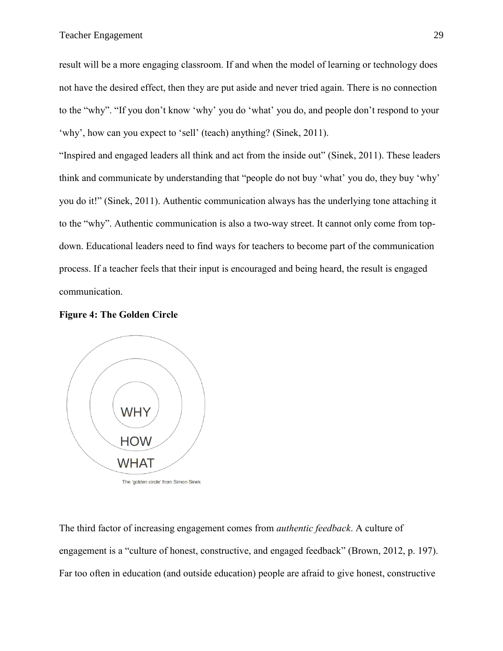result will be a more engaging classroom. If and when the model of learning or technology does not have the desired effect, then they are put aside and never tried again. There is no connection to the "why". "If you don't know 'why' you do 'what' you do, and people don't respond to your 'why', how can you expect to 'sell' (teach) anything? (Sinek, 2011).

"Inspired and engaged leaders all think and act from the inside out" (Sinek, 2011). These leaders think and communicate by understanding that "people do not buy 'what' you do, they buy 'why' you do it!" (Sinek, 2011). Authentic communication always has the underlying tone attaching it to the "why". Authentic communication is also a two-way street. It cannot only come from topdown. Educational leaders need to find ways for teachers to become part of the communication process. If a teacher feels that their input is encouraged and being heard, the result is engaged communication.

### <span id="page-35-0"></span>**Figure 4: The Golden Circle**



The third factor of increasing engagement comes from *authentic feedback*. A culture of engagement is a "culture of honest, constructive, and engaged feedback" (Brown, 2012, p. 197). Far too often in education (and outside education) people are afraid to give honest, constructive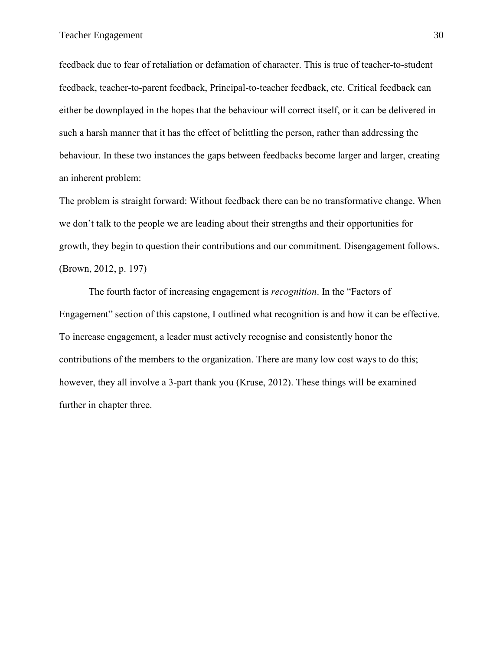feedback due to fear of retaliation or defamation of character. This is true of teacher-to-student feedback, teacher-to-parent feedback, Principal-to-teacher feedback, etc. Critical feedback can either be downplayed in the hopes that the behaviour will correct itself, or it can be delivered in such a harsh manner that it has the effect of belittling the person, rather than addressing the behaviour. In these two instances the gaps between feedbacks become larger and larger, creating an inherent problem:

The problem is straight forward: Without feedback there can be no transformative change. When we don't talk to the people we are leading about their strengths and their opportunities for growth, they begin to question their contributions and our commitment. Disengagement follows. (Brown, 2012, p. 197)

The fourth factor of increasing engagement is *recognition*. In the "Factors of Engagement" section of this capstone, I outlined what recognition is and how it can be effective. To increase engagement, a leader must actively recognise and consistently honor the contributions of the members to the organization. There are many low cost ways to do this; however, they all involve a 3-part thank you (Kruse, 2012). These things will be examined further in chapter three.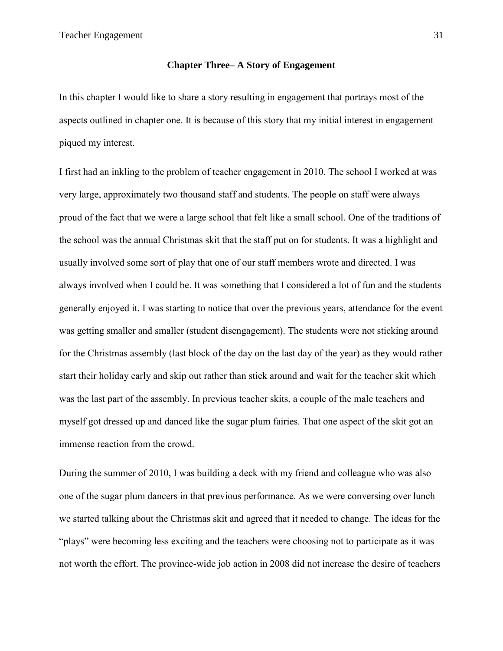### **Chapter Three– A Story of Engagement**

<span id="page-37-0"></span>In this chapter I would like to share a story resulting in engagement that portrays most of the aspects outlined in chapter one. It is because of this story that my initial interest in engagement piqued my interest.

I first had an inkling to the problem of teacher engagement in 2010. The school I worked at was very large, approximately two thousand staff and students. The people on staff were always proud of the fact that we were a large school that felt like a small school. One of the traditions of the school was the annual Christmas skit that the staff put on for students. It was a highlight and usually involved some sort of play that one of our staff members wrote and directed. I was always involved when I could be. It was something that I considered a lot of fun and the students generally enjoyed it. I was starting to notice that over the previous years, attendance for the event was getting smaller and smaller (student disengagement). The students were not sticking around for the Christmas assembly (last block of the day on the last day of the year) as they would rather start their holiday early and skip out rather than stick around and wait for the teacher skit which was the last part of the assembly. In previous teacher skits, a couple of the male teachers and myself got dressed up and danced like the sugar plum fairies. That one aspect of the skit got an immense reaction from the crowd.

During the summer of 2010, I was building a deck with my friend and colleague who was also one of the sugar plum dancers in that previous performance. As we were conversing over lunch we started talking about the Christmas skit and agreed that it needed to change. The ideas for the "plays" were becoming less exciting and the teachers were choosing not to participate as it was not worth the effort. The province-wide job action in 2008 did not increase the desire of teachers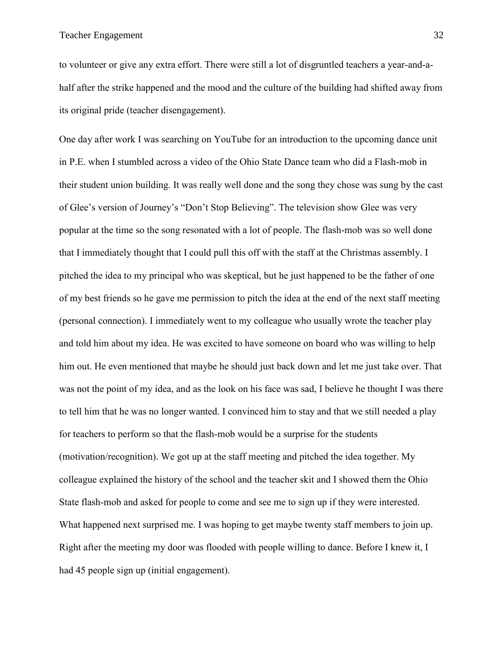to volunteer or give any extra effort. There were still a lot of disgruntled teachers a year-and-ahalf after the strike happened and the mood and the culture of the building had shifted away from its original pride (teacher disengagement).

One day after work I was searching on YouTube for an introduction to the upcoming dance unit in P.E. when I stumbled across a video of the Ohio State Dance team who did a Flash-mob in their student union building. It was really well done and the song they chose was sung by the cast of Glee's version of Journey's "Don't Stop Believing". The television show Glee was very popular at the time so the song resonated with a lot of people. The flash-mob was so well done that I immediately thought that I could pull this off with the staff at the Christmas assembly. I pitched the idea to my principal who was skeptical, but he just happened to be the father of one of my best friends so he gave me permission to pitch the idea at the end of the next staff meeting (personal connection). I immediately went to my colleague who usually wrote the teacher play and told him about my idea. He was excited to have someone on board who was willing to help him out. He even mentioned that maybe he should just back down and let me just take over. That was not the point of my idea, and as the look on his face was sad, I believe he thought I was there to tell him that he was no longer wanted. I convinced him to stay and that we still needed a play for teachers to perform so that the flash-mob would be a surprise for the students (motivation/recognition). We got up at the staff meeting and pitched the idea together. My colleague explained the history of the school and the teacher skit and I showed them the Ohio State flash-mob and asked for people to come and see me to sign up if they were interested. What happened next surprised me. I was hoping to get maybe twenty staff members to join up. Right after the meeting my door was flooded with people willing to dance. Before I knew it, I had 45 people sign up (initial engagement).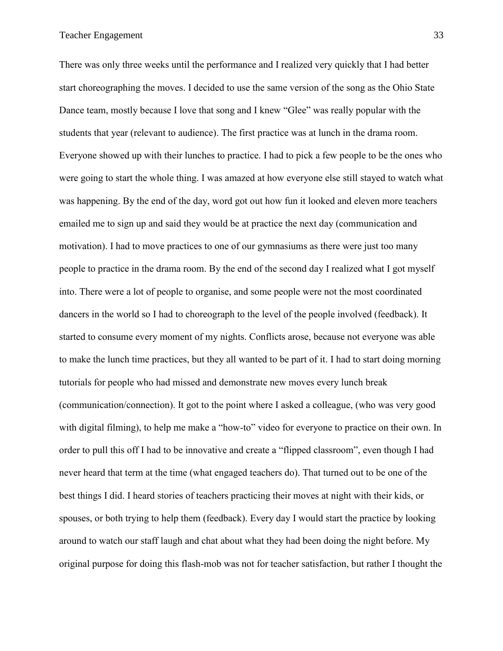There was only three weeks until the performance and I realized very quickly that I had better start choreographing the moves. I decided to use the same version of the song as the Ohio State Dance team, mostly because I love that song and I knew "Glee" was really popular with the students that year (relevant to audience). The first practice was at lunch in the drama room. Everyone showed up with their lunches to practice. I had to pick a few people to be the ones who were going to start the whole thing. I was amazed at how everyone else still stayed to watch what was happening. By the end of the day, word got out how fun it looked and eleven more teachers emailed me to sign up and said they would be at practice the next day (communication and motivation). I had to move practices to one of our gymnasiums as there were just too many people to practice in the drama room. By the end of the second day I realized what I got myself into. There were a lot of people to organise, and some people were not the most coordinated dancers in the world so I had to choreograph to the level of the people involved (feedback). It started to consume every moment of my nights. Conflicts arose, because not everyone was able to make the lunch time practices, but they all wanted to be part of it. I had to start doing morning tutorials for people who had missed and demonstrate new moves every lunch break (communication/connection). It got to the point where I asked a colleague, (who was very good with digital filming), to help me make a "how-to" video for everyone to practice on their own. In order to pull this off I had to be innovative and create a "flipped classroom", even though I had never heard that term at the time (what engaged teachers do). That turned out to be one of the best things I did. I heard stories of teachers practicing their moves at night with their kids, or spouses, or both trying to help them (feedback). Every day I would start the practice by looking around to watch our staff laugh and chat about what they had been doing the night before. My original purpose for doing this flash-mob was not for teacher satisfaction, but rather I thought the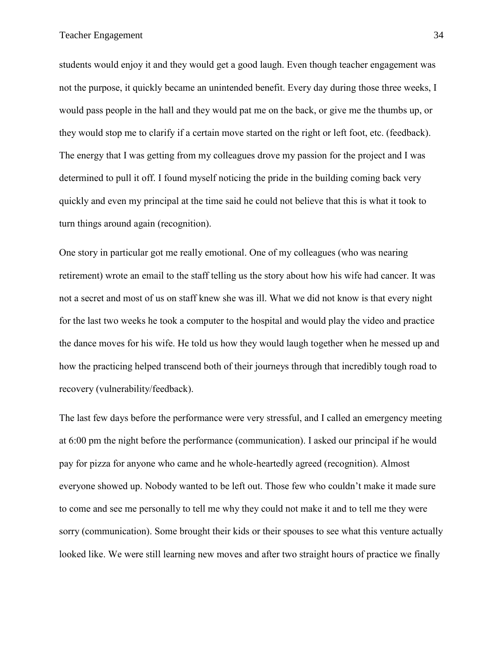students would enjoy it and they would get a good laugh. Even though teacher engagement was not the purpose, it quickly became an unintended benefit. Every day during those three weeks, I would pass people in the hall and they would pat me on the back, or give me the thumbs up, or they would stop me to clarify if a certain move started on the right or left foot, etc. (feedback). The energy that I was getting from my colleagues drove my passion for the project and I was determined to pull it off. I found myself noticing the pride in the building coming back very quickly and even my principal at the time said he could not believe that this is what it took to turn things around again (recognition).

One story in particular got me really emotional. One of my colleagues (who was nearing retirement) wrote an email to the staff telling us the story about how his wife had cancer. It was not a secret and most of us on staff knew she was ill. What we did not know is that every night for the last two weeks he took a computer to the hospital and would play the video and practice the dance moves for his wife. He told us how they would laugh together when he messed up and how the practicing helped transcend both of their journeys through that incredibly tough road to recovery (vulnerability/feedback).

The last few days before the performance were very stressful, and I called an emergency meeting at 6:00 pm the night before the performance (communication). I asked our principal if he would pay for pizza for anyone who came and he whole-heartedly agreed (recognition). Almost everyone showed up. Nobody wanted to be left out. Those few who couldn't make it made sure to come and see me personally to tell me why they could not make it and to tell me they were sorry (communication). Some brought their kids or their spouses to see what this venture actually looked like. We were still learning new moves and after two straight hours of practice we finally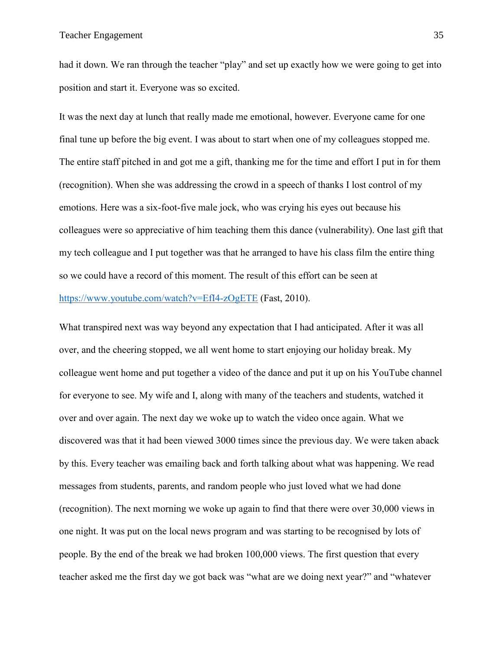had it down. We ran through the teacher "play" and set up exactly how we were going to get into position and start it. Everyone was so excited.

It was the next day at lunch that really made me emotional, however. Everyone came for one final tune up before the big event. I was about to start when one of my colleagues stopped me. The entire staff pitched in and got me a gift, thanking me for the time and effort I put in for them (recognition). When she was addressing the crowd in a speech of thanks I lost control of my emotions. Here was a six-foot-five male jock, who was crying his eyes out because his colleagues were so appreciative of him teaching them this dance (vulnerability). One last gift that my tech colleague and I put together was that he arranged to have his class film the entire thing so we could have a record of this moment. The result of this effort can be seen at <https://www.youtube.com/watch?v=EfI4-zOgETE> (Fast, 2010).

What transpired next was way beyond any expectation that I had anticipated. After it was all over, and the cheering stopped, we all went home to start enjoying our holiday break. My colleague went home and put together a video of the dance and put it up on his YouTube channel for everyone to see. My wife and I, along with many of the teachers and students, watched it over and over again. The next day we woke up to watch the video once again. What we discovered was that it had been viewed 3000 times since the previous day. We were taken aback by this. Every teacher was emailing back and forth talking about what was happening. We read messages from students, parents, and random people who just loved what we had done (recognition). The next morning we woke up again to find that there were over 30,000 views in one night. It was put on the local news program and was starting to be recognised by lots of people. By the end of the break we had broken 100,000 views. The first question that every teacher asked me the first day we got back was "what are we doing next year?" and "whatever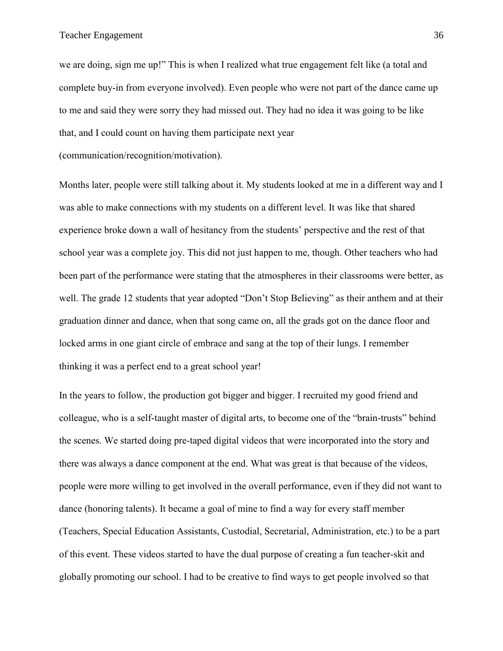we are doing, sign me up!" This is when I realized what true engagement felt like (a total and complete buy-in from everyone involved). Even people who were not part of the dance came up to me and said they were sorry they had missed out. They had no idea it was going to be like that, and I could count on having them participate next year

(communication/recognition/motivation).

Months later, people were still talking about it. My students looked at me in a different way and I was able to make connections with my students on a different level. It was like that shared experience broke down a wall of hesitancy from the students' perspective and the rest of that school year was a complete joy. This did not just happen to me, though. Other teachers who had been part of the performance were stating that the atmospheres in their classrooms were better, as well. The grade 12 students that year adopted "Don't Stop Believing" as their anthem and at their graduation dinner and dance, when that song came on, all the grads got on the dance floor and locked arms in one giant circle of embrace and sang at the top of their lungs. I remember thinking it was a perfect end to a great school year!

In the years to follow, the production got bigger and bigger. I recruited my good friend and colleague, who is a self-taught master of digital arts, to become one of the "brain-trusts" behind the scenes. We started doing pre-taped digital videos that were incorporated into the story and there was always a dance component at the end. What was great is that because of the videos, people were more willing to get involved in the overall performance, even if they did not want to dance (honoring talents). It became a goal of mine to find a way for every staff member (Teachers, Special Education Assistants, Custodial, Secretarial, Administration, etc.) to be a part of this event. These videos started to have the dual purpose of creating a fun teacher-skit and globally promoting our school. I had to be creative to find ways to get people involved so that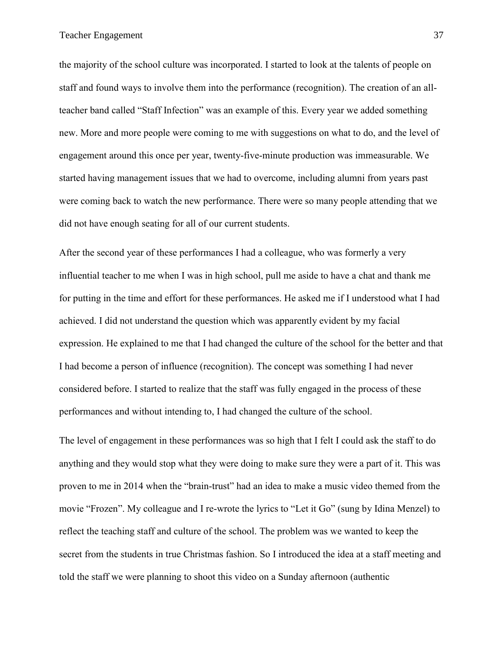the majority of the school culture was incorporated. I started to look at the talents of people on staff and found ways to involve them into the performance (recognition). The creation of an allteacher band called "Staff Infection" was an example of this. Every year we added something new. More and more people were coming to me with suggestions on what to do, and the level of engagement around this once per year, twenty-five-minute production was immeasurable. We started having management issues that we had to overcome, including alumni from years past were coming back to watch the new performance. There were so many people attending that we did not have enough seating for all of our current students.

After the second year of these performances I had a colleague, who was formerly a very influential teacher to me when I was in high school, pull me aside to have a chat and thank me for putting in the time and effort for these performances. He asked me if I understood what I had achieved. I did not understand the question which was apparently evident by my facial expression. He explained to me that I had changed the culture of the school for the better and that I had become a person of influence (recognition). The concept was something I had never considered before. I started to realize that the staff was fully engaged in the process of these performances and without intending to, I had changed the culture of the school.

The level of engagement in these performances was so high that I felt I could ask the staff to do anything and they would stop what they were doing to make sure they were a part of it. This was proven to me in 2014 when the "brain-trust" had an idea to make a music video themed from the movie "Frozen". My colleague and I re-wrote the lyrics to "Let it Go" (sung by Idina Menzel) to reflect the teaching staff and culture of the school. The problem was we wanted to keep the secret from the students in true Christmas fashion. So I introduced the idea at a staff meeting and told the staff we were planning to shoot this video on a Sunday afternoon (authentic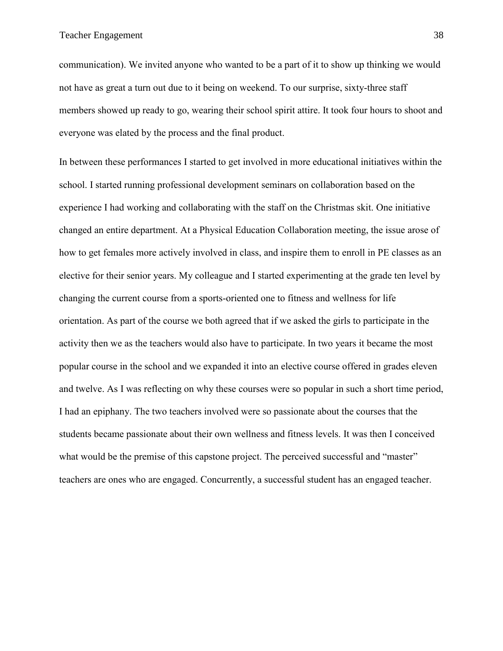communication). We invited anyone who wanted to be a part of it to show up thinking we would not have as great a turn out due to it being on weekend. To our surprise, sixty-three staff members showed up ready to go, wearing their school spirit attire. It took four hours to shoot and everyone was elated by the process and the final product.

In between these performances I started to get involved in more educational initiatives within the school. I started running professional development seminars on collaboration based on the experience I had working and collaborating with the staff on the Christmas skit. One initiative changed an entire department. At a Physical Education Collaboration meeting, the issue arose of how to get females more actively involved in class, and inspire them to enroll in PE classes as an elective for their senior years. My colleague and I started experimenting at the grade ten level by changing the current course from a sports-oriented one to fitness and wellness for life orientation. As part of the course we both agreed that if we asked the girls to participate in the activity then we as the teachers would also have to participate. In two years it became the most popular course in the school and we expanded it into an elective course offered in grades eleven and twelve. As I was reflecting on why these courses were so popular in such a short time period, I had an epiphany. The two teachers involved were so passionate about the courses that the students became passionate about their own wellness and fitness levels. It was then I conceived what would be the premise of this capstone project. The perceived successful and "master" teachers are ones who are engaged. Concurrently, a successful student has an engaged teacher.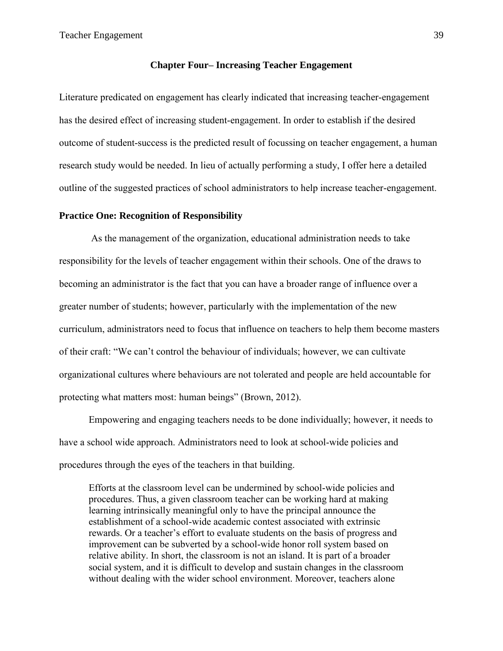### **Chapter Four– Increasing Teacher Engagement**

<span id="page-45-0"></span>Literature predicated on engagement has clearly indicated that increasing teacher-engagement has the desired effect of increasing student-engagement. In order to establish if the desired outcome of student-success is the predicted result of focussing on teacher engagement, a human research study would be needed. In lieu of actually performing a study, I offer here a detailed outline of the suggested practices of school administrators to help increase teacher-engagement.

### <span id="page-45-1"></span>**Practice One: Recognition of Responsibility**

As the management of the organization, educational administration needs to take responsibility for the levels of teacher engagement within their schools. One of the draws to becoming an administrator is the fact that you can have a broader range of influence over a greater number of students; however, particularly with the implementation of the new curriculum, administrators need to focus that influence on teachers to help them become masters of their craft: "We can't control the behaviour of individuals; however, we can cultivate organizational cultures where behaviours are not tolerated and people are held accountable for protecting what matters most: human beings" (Brown, 2012).

Empowering and engaging teachers needs to be done individually; however, it needs to have a school wide approach. Administrators need to look at school-wide policies and procedures through the eyes of the teachers in that building.

Efforts at the classroom level can be undermined by school-wide policies and procedures. Thus, a given classroom teacher can be working hard at making learning intrinsically meaningful only to have the principal announce the establishment of a school-wide academic contest associated with extrinsic rewards. Or a teacher's effort to evaluate students on the basis of progress and improvement can be subverted by a school-wide honor roll system based on relative ability. In short, the classroom is not an island. It is part of a broader social system, and it is difficult to develop and sustain changes in the classroom without dealing with the wider school environment. Moreover, teachers alone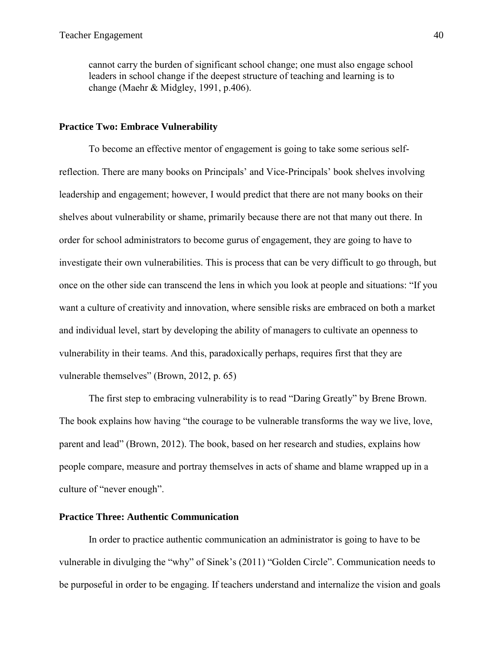cannot carry the burden of significant school change; one must also engage school leaders in school change if the deepest structure of teaching and learning is to change (Maehr & Midgley, 1991, p.406).

### <span id="page-46-0"></span>**Practice Two: Embrace Vulnerability**

To become an effective mentor of engagement is going to take some serious selfreflection. There are many books on Principals' and Vice-Principals' book shelves involving leadership and engagement; however, I would predict that there are not many books on their shelves about vulnerability or shame, primarily because there are not that many out there. In order for school administrators to become gurus of engagement, they are going to have to investigate their own vulnerabilities. This is process that can be very difficult to go through, but once on the other side can transcend the lens in which you look at people and situations: "If you want a culture of creativity and innovation, where sensible risks are embraced on both a market and individual level, start by developing the ability of managers to cultivate an openness to vulnerability in their teams. And this, paradoxically perhaps, requires first that they are vulnerable themselves" (Brown, 2012, p. 65)

The first step to embracing vulnerability is to read "Daring Greatly" by Brene Brown. The book explains how having "the courage to be vulnerable transforms the way we live, love, parent and lead" (Brown, 2012). The book, based on her research and studies, explains how people compare, measure and portray themselves in acts of shame and blame wrapped up in a culture of "never enough".

### <span id="page-46-1"></span>**Practice Three: Authentic Communication**

In order to practice authentic communication an administrator is going to have to be vulnerable in divulging the "why" of Sinek's (2011) "Golden Circle". Communication needs to be purposeful in order to be engaging. If teachers understand and internalize the vision and goals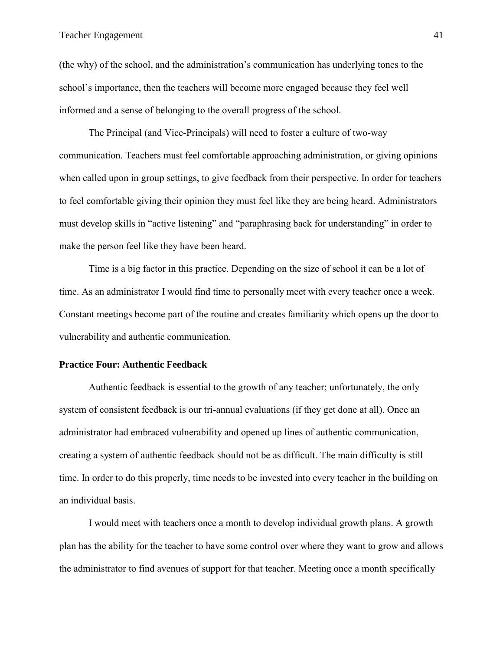(the why) of the school, and the administration's communication has underlying tones to the school's importance, then the teachers will become more engaged because they feel well informed and a sense of belonging to the overall progress of the school.

The Principal (and Vice-Principals) will need to foster a culture of two-way communication. Teachers must feel comfortable approaching administration, or giving opinions when called upon in group settings, to give feedback from their perspective. In order for teachers to feel comfortable giving their opinion they must feel like they are being heard. Administrators must develop skills in "active listening" and "paraphrasing back for understanding" in order to make the person feel like they have been heard.

Time is a big factor in this practice. Depending on the size of school it can be a lot of time. As an administrator I would find time to personally meet with every teacher once a week. Constant meetings become part of the routine and creates familiarity which opens up the door to vulnerability and authentic communication.

### <span id="page-47-0"></span>**Practice Four: Authentic Feedback**

Authentic feedback is essential to the growth of any teacher; unfortunately, the only system of consistent feedback is our tri-annual evaluations (if they get done at all). Once an administrator had embraced vulnerability and opened up lines of authentic communication, creating a system of authentic feedback should not be as difficult. The main difficulty is still time. In order to do this properly, time needs to be invested into every teacher in the building on an individual basis.

I would meet with teachers once a month to develop individual growth plans. A growth plan has the ability for the teacher to have some control over where they want to grow and allows the administrator to find avenues of support for that teacher. Meeting once a month specifically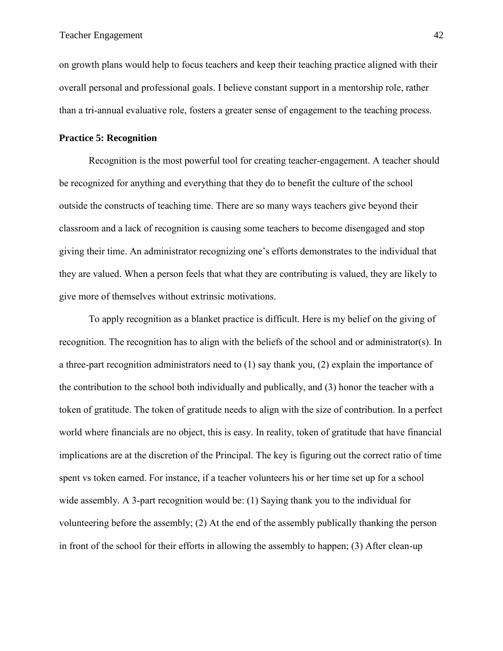on growth plans would help to focus teachers and keep their teaching practice aligned with their overall personal and professional goals. I believe constant support in a mentorship role, rather than a tri-annual evaluative role, fosters a greater sense of engagement to the teaching process.

### <span id="page-48-0"></span>**Practice 5: Recognition**

Recognition is the most powerful tool for creating teacher-engagement. A teacher should be recognized for anything and everything that they do to benefit the culture of the school outside the constructs of teaching time. There are so many ways teachers give beyond their classroom and a lack of recognition is causing some teachers to become disengaged and stop giving their time. An administrator recognizing one's efforts demonstrates to the individual that they are valued. When a person feels that what they are contributing is valued, they are likely to give more of themselves without extrinsic motivations.

To apply recognition as a blanket practice is difficult. Here is my belief on the giving of recognition. The recognition has to align with the beliefs of the school and or administrator(s). In a three-part recognition administrators need to (1) say thank you, (2) explain the importance of the contribution to the school both individually and publically, and (3) honor the teacher with a token of gratitude. The token of gratitude needs to align with the size of contribution. In a perfect world where financials are no object, this is easy. In reality, token of gratitude that have financial implications are at the discretion of the Principal. The key is figuring out the correct ratio of time spent vs token earned. For instance, if a teacher volunteers his or her time set up for a school wide assembly. A 3-part recognition would be: (1) Saying thank you to the individual for volunteering before the assembly; (2) At the end of the assembly publically thanking the person in front of the school for their efforts in allowing the assembly to happen; (3) After clean-up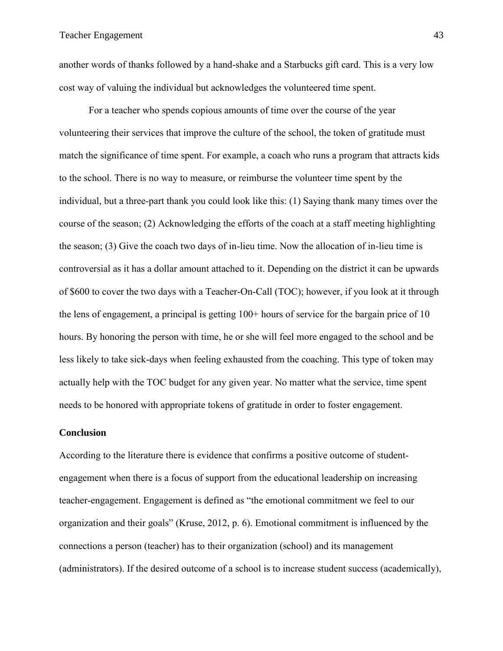another words of thanks followed by a hand-shake and a Starbucks gift card. This is a very low cost way of valuing the individual but acknowledges the volunteered time spent.

For a teacher who spends copious amounts of time over the course of the year volunteering their services that improve the culture of the school, the token of gratitude must match the significance of time spent. For example, a coach who runs a program that attracts kids to the school. There is no way to measure, or reimburse the volunteer time spent by the individual, but a three-part thank you could look like this: (1) Saying thank many times over the course of the season; (2) Acknowledging the efforts of the coach at a staff meeting highlighting the season; (3) Give the coach two days of in-lieu time. Now the allocation of in-lieu time is controversial as it has a dollar amount attached to it. Depending on the district it can be upwards of \$600 to cover the two days with a Teacher-On-Call (TOC); however, if you look at it through the lens of engagement, a principal is getting 100+ hours of service for the bargain price of 10 hours. By honoring the person with time, he or she will feel more engaged to the school and be less likely to take sick-days when feeling exhausted from the coaching. This type of token may actually help with the TOC budget for any given year. No matter what the service, time spent needs to be honored with appropriate tokens of gratitude in order to foster engagement.

#### <span id="page-49-0"></span>**Conclusion**

According to the literature there is evidence that confirms a positive outcome of studentengagement when there is a focus of support from the educational leadership on increasing teacher-engagement. Engagement is defined as "the emotional commitment we feel to our organization and their goals" (Kruse, 2012, p. 6). Emotional commitment is influenced by the connections a person (teacher) has to their organization (school) and its management (administrators). If the desired outcome of a school is to increase student success (academically),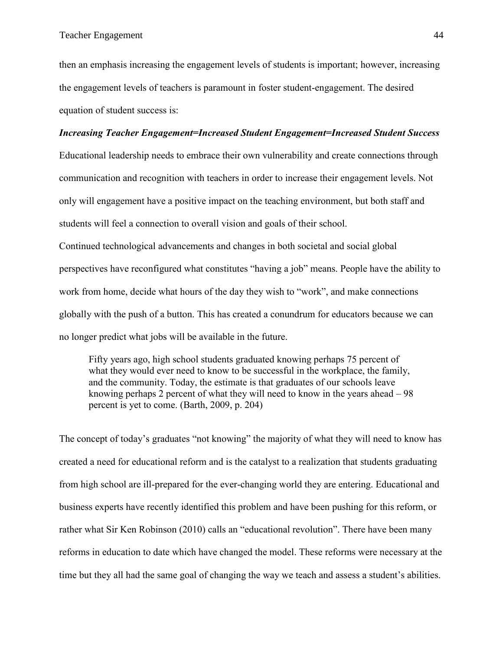then an emphasis increasing the engagement levels of students is important; however, increasing the engagement levels of teachers is paramount in foster student-engagement. The desired equation of student success is:

### *Increasing Teacher Engagement=Increased Student Engagement=Increased Student Success*

Educational leadership needs to embrace their own vulnerability and create connections through communication and recognition with teachers in order to increase their engagement levels. Not only will engagement have a positive impact on the teaching environment, but both staff and students will feel a connection to overall vision and goals of their school.

Continued technological advancements and changes in both societal and social global perspectives have reconfigured what constitutes "having a job" means. People have the ability to work from home, decide what hours of the day they wish to "work", and make connections globally with the push of a button. This has created a conundrum for educators because we can no longer predict what jobs will be available in the future.

Fifty years ago, high school students graduated knowing perhaps 75 percent of what they would ever need to know to be successful in the workplace, the family, and the community. Today, the estimate is that graduates of our schools leave knowing perhaps 2 percent of what they will need to know in the years ahead – 98 percent is yet to come. (Barth, 2009, p. 204)

The concept of today's graduates "not knowing" the majority of what they will need to know has created a need for educational reform and is the catalyst to a realization that students graduating from high school are ill-prepared for the ever-changing world they are entering. Educational and business experts have recently identified this problem and have been pushing for this reform, or rather what Sir Ken Robinson (2010) calls an "educational revolution". There have been many reforms in education to date which have changed the model. These reforms were necessary at the time but they all had the same goal of changing the way we teach and assess a student's abilities.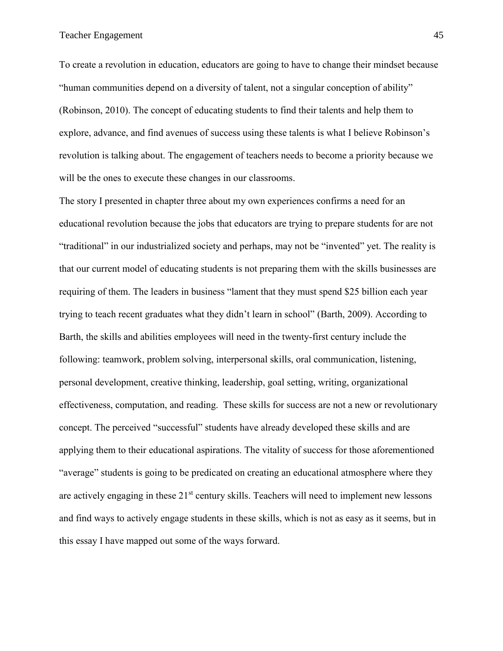To create a revolution in education, educators are going to have to change their mindset because "human communities depend on a diversity of talent, not a singular conception of ability" (Robinson, 2010). The concept of educating students to find their talents and help them to explore, advance, and find avenues of success using these talents is what I believe Robinson's revolution is talking about. The engagement of teachers needs to become a priority because we will be the ones to execute these changes in our classrooms.

The story I presented in chapter three about my own experiences confirms a need for an educational revolution because the jobs that educators are trying to prepare students for are not "traditional" in our industrialized society and perhaps, may not be "invented" yet. The reality is that our current model of educating students is not preparing them with the skills businesses are requiring of them. The leaders in business "lament that they must spend \$25 billion each year trying to teach recent graduates what they didn't learn in school" (Barth, 2009). According to Barth, the skills and abilities employees will need in the twenty-first century include the following: teamwork, problem solving, interpersonal skills, oral communication, listening, personal development, creative thinking, leadership, goal setting, writing, organizational effectiveness, computation, and reading. These skills for success are not a new or revolutionary concept. The perceived "successful" students have already developed these skills and are applying them to their educational aspirations. The vitality of success for those aforementioned "average" students is going to be predicated on creating an educational atmosphere where they are actively engaging in these 21<sup>st</sup> century skills. Teachers will need to implement new lessons and find ways to actively engage students in these skills, which is not as easy as it seems, but in this essay I have mapped out some of the ways forward.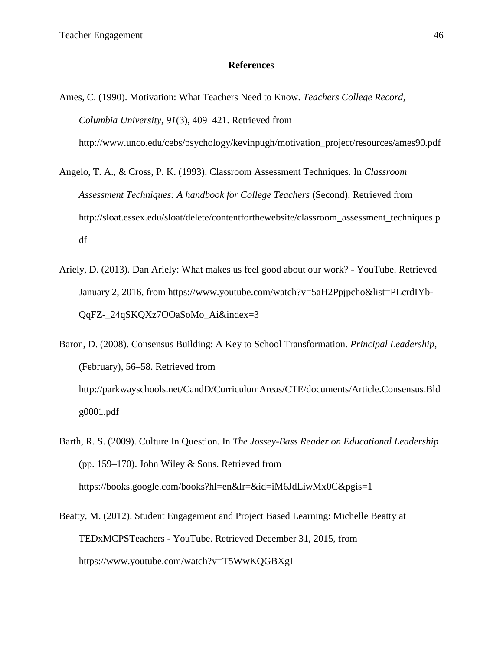### **References**

- <span id="page-52-0"></span>Ames, C. (1990). Motivation: What Teachers Need to Know. *Teachers College Record, Columbia University*, *91*(3), 409–421. Retrieved from http://www.unco.edu/cebs/psychology/kevinpugh/motivation\_project/resources/ames90.pdf
- Angelo, T. A., & Cross, P. K. (1993). Classroom Assessment Techniques. In *Classroom Assessment Techniques: A handbook for College Teachers* (Second). Retrieved from http://sloat.essex.edu/sloat/delete/contentforthewebsite/classroom\_assessment\_techniques.p df
- Ariely, D. (2013). Dan Ariely: What makes us feel good about our work? YouTube. Retrieved January 2, 2016, from https://www.youtube.com/watch?v=5aH2Ppjpcho&list=PLcrdIYb-QqFZ-\_24qSKQXz7OOaSoMo\_Ai&index=3
- Baron, D. (2008). Consensus Building: A Key to School Transformation. *Principal Leadership*, (February), 56–58. Retrieved from http://parkwayschools.net/CandD/CurriculumAreas/CTE/documents/Article.Consensus.Bld g0001.pdf
- Barth, R. S. (2009). Culture In Question. In *The Jossey-Bass Reader on Educational Leadership* (pp. 159–170). John Wiley & Sons. Retrieved from https://books.google.com/books?hl=en&lr=&id=iM6JdLiwMx0C&pgis=1
- Beatty, M. (2012). Student Engagement and Project Based Learning: Michelle Beatty at TEDxMCPSTeachers - YouTube. Retrieved December 31, 2015, from https://www.youtube.com/watch?v=T5WwKQGBXgI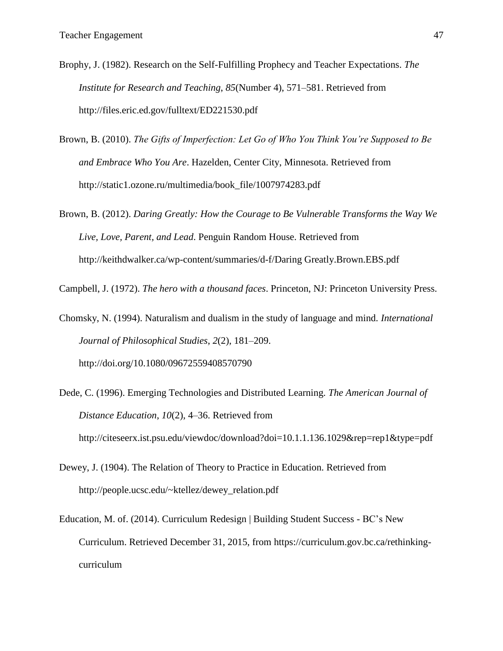- Brophy, J. (1982). Research on the Self-Fulfilling Prophecy and Teacher Expectations. *The Institute for Research and Teaching*, *85*(Number 4), 571–581. Retrieved from http://files.eric.ed.gov/fulltext/ED221530.pdf
- Brown, B. (2010). *The Gifts of Imperfection: Let Go of Who You Think You're Supposed to Be and Embrace Who You Are*. Hazelden, Center City, Minnesota. Retrieved from http://static1.ozone.ru/multimedia/book\_file/1007974283.pdf
- Brown, B. (2012). *Daring Greatly: How the Courage to Be Vulnerable Transforms the Way We Live, Love, Parent, and Lead*. Penguin Random House. Retrieved from http://keithdwalker.ca/wp-content/summaries/d-f/Daring Greatly.Brown.EBS.pdf

Campbell, J. (1972). *The hero with a thousand faces*. Princeton, NJ: Princeton University Press.

Chomsky, N. (1994). Naturalism and dualism in the study of language and mind. *International Journal of Philosophical Studies*, *2*(2), 181–209. http://doi.org/10.1080/09672559408570790

- Dede, C. (1996). Emerging Technologies and Distributed Learning. *The American Journal of Distance Education*, *10*(2), 4–36. Retrieved from http://citeseerx.ist.psu.edu/viewdoc/download?doi=10.1.1.136.1029&rep=rep1&type=pdf
- Dewey, J. (1904). The Relation of Theory to Practice in Education. Retrieved from http://people.ucsc.edu/~ktellez/dewey\_relation.pdf
- Education, M. of. (2014). Curriculum Redesign | Building Student Success BC's New Curriculum. Retrieved December 31, 2015, from https://curriculum.gov.bc.ca/rethinkingcurriculum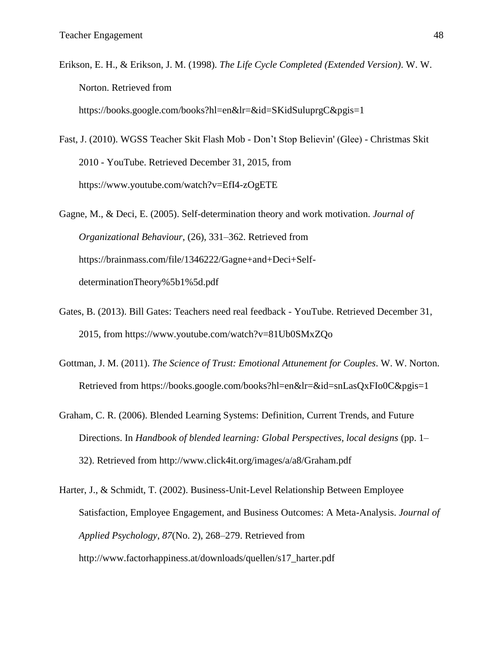Erikson, E. H., & Erikson, J. M. (1998). *The Life Cycle Completed (Extended Version)*. W. W. Norton. Retrieved from

https://books.google.com/books?hl=en&lr=&id=SKidSuluprgC&pgis=1

Fast, J. (2010). WGSS Teacher Skit Flash Mob - Don't Stop Believin' (Glee) - Christmas Skit 2010 - YouTube. Retrieved December 31, 2015, from https://www.youtube.com/watch?v=EfI4-zOgETE

Gagne, M., & Deci, E. (2005). Self-determination theory and work motivation. *Journal of Organizational Behaviour*, (26), 331–362. Retrieved from https://brainmass.com/file/1346222/Gagne+and+Deci+SelfdeterminationTheory%5b1%5d.pdf

- Gates, B. (2013). Bill Gates: Teachers need real feedback YouTube. Retrieved December 31, 2015, from https://www.youtube.com/watch?v=81Ub0SMxZQo
- Gottman, J. M. (2011). *The Science of Trust: Emotional Attunement for Couples*. W. W. Norton. Retrieved from https://books.google.com/books?hl=en&lr=&id=snLasQxFIo0C&pgis=1
- Graham, C. R. (2006). Blended Learning Systems: Definition, Current Trends, and Future Directions. In *Handbook of blended learning: Global Perspectives, local designs* (pp. 1– 32). Retrieved from http://www.click4it.org/images/a/a8/Graham.pdf
- Harter, J., & Schmidt, T. (2002). Business-Unit-Level Relationship Between Employee Satisfaction, Employee Engagement, and Business Outcomes: A Meta-Analysis. *Journal of Applied Psychology*, *87*(No. 2), 268–279. Retrieved from http://www.factorhappiness.at/downloads/quellen/s17\_harter.pdf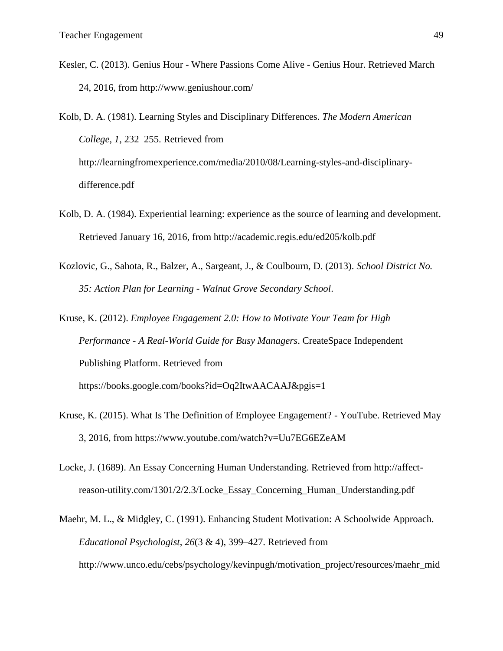Kesler, C. (2013). Genius Hour - Where Passions Come Alive - Genius Hour. Retrieved March 24, 2016, from http://www.geniushour.com/

Kolb, D. A. (1981). Learning Styles and Disciplinary Differences. *The Modern American College*, *1*, 232–255. Retrieved from http://learningfromexperience.com/media/2010/08/Learning-styles-and-disciplinarydifference.pdf

- Kolb, D. A. (1984). Experiential learning: experience as the source of learning and development. Retrieved January 16, 2016, from http://academic.regis.edu/ed205/kolb.pdf
- Kozlovic, G., Sahota, R., Balzer, A., Sargeant, J., & Coulbourn, D. (2013). *School District No. 35: Action Plan for Learning - Walnut Grove Secondary School*.

Kruse, K. (2012). *Employee Engagement 2.0: How to Motivate Your Team for High Performance - A Real-World Guide for Busy Managers*. CreateSpace Independent Publishing Platform. Retrieved from https://books.google.com/books?id=Oq2ItwAACAAJ&pgis=1

- Kruse, K. (2015). What Is The Definition of Employee Engagement? YouTube. Retrieved May 3, 2016, from https://www.youtube.com/watch?v=Uu7EG6EZeAM
- Locke, J. (1689). An Essay Concerning Human Understanding. Retrieved from http://affectreason-utility.com/1301/2/2.3/Locke\_Essay\_Concerning\_Human\_Understanding.pdf
- Maehr, M. L., & Midgley, C. (1991). Enhancing Student Motivation: A Schoolwide Approach. *Educational Psychologist*, *26*(3 & 4), 399–427. Retrieved from http://www.unco.edu/cebs/psychology/kevinpugh/motivation\_project/resources/maehr\_mid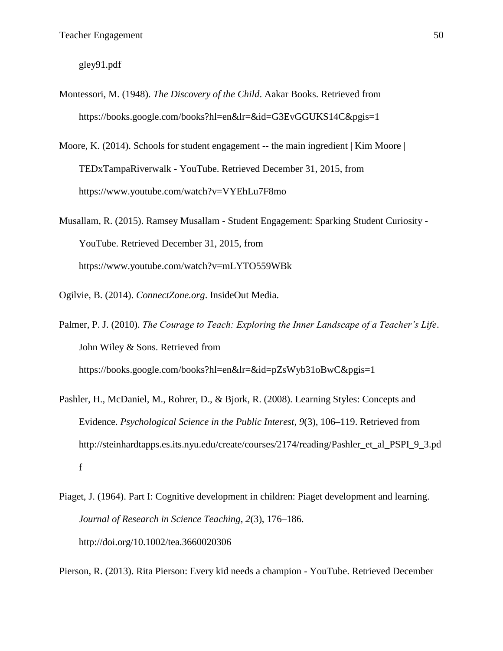gley91.pdf

- Montessori, M. (1948). *The Discovery of the Child*. Aakar Books. Retrieved from https://books.google.com/books?hl=en&lr=&id=G3EvGGUKS14C&pgis=1
- Moore, K. (2014). Schools for student engagement -- the main ingredient | Kim Moore | TEDxTampaRiverwalk - YouTube. Retrieved December 31, 2015, from https://www.youtube.com/watch?v=VYEhLu7F8mo
- Musallam, R. (2015). Ramsey Musallam Student Engagement: Sparking Student Curiosity YouTube. Retrieved December 31, 2015, from https://www.youtube.com/watch?v=mLYTO559WBk
- Ogilvie, B. (2014). *ConnectZone.org*. InsideOut Media.
- Palmer, P. J. (2010). *The Courage to Teach: Exploring the Inner Landscape of a Teacher's Life*. John Wiley & Sons. Retrieved from https://books.google.com/books?hl=en&lr=&id=pZsWyb31oBwC&pgis=1
- Pashler, H., McDaniel, M., Rohrer, D., & Bjork, R. (2008). Learning Styles: Concepts and Evidence. *Psychological Science in the Public Interest*, *9*(3), 106–119. Retrieved from http://steinhardtapps.es.its.nyu.edu/create/courses/2174/reading/Pashler\_et\_al\_PSPI\_9\_3.pd f
- Piaget, J. (1964). Part I: Cognitive development in children: Piaget development and learning. *Journal of Research in Science Teaching*, *2*(3), 176–186. http://doi.org/10.1002/tea.3660020306

Pierson, R. (2013). Rita Pierson: Every kid needs a champion - YouTube. Retrieved December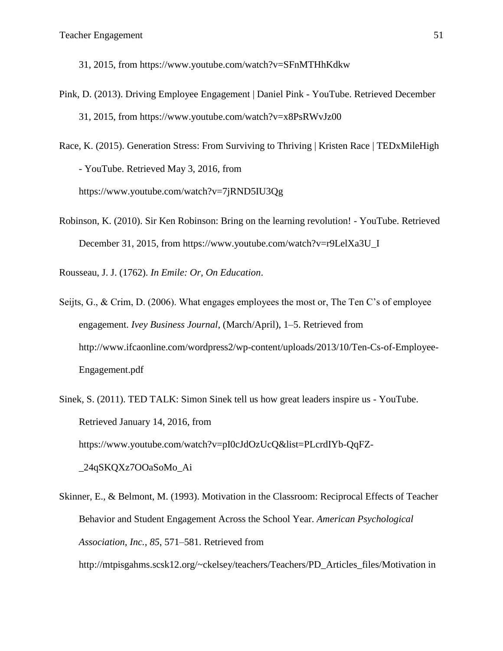31, 2015, from https://www.youtube.com/watch?v=SFnMTHhKdkw

Pink, D. (2013). Driving Employee Engagement | Daniel Pink - YouTube. Retrieved December 31, 2015, from https://www.youtube.com/watch?v=x8PsRWvJz00

Race, K. (2015). Generation Stress: From Surviving to Thriving | Kristen Race | TEDxMileHigh - YouTube. Retrieved May 3, 2016, from https://www.youtube.com/watch?v=7jRND5IU3Qg

Robinson, K. (2010). Sir Ken Robinson: Bring on the learning revolution! - YouTube. Retrieved December 31, 2015, from https://www.youtube.com/watch?v=r9LelXa3U\_I

Rousseau, J. J. (1762). *In Emile: Or, On Education*.

- Seijts, G., & Crim, D. (2006). What engages employees the most or, The Ten C's of employee engagement. *Ivey Business Journal*, (March/April), 1–5. Retrieved from http://www.ifcaonline.com/wordpress2/wp-content/uploads/2013/10/Ten-Cs-of-Employee-Engagement.pdf
- Sinek, S. (2011). TED TALK: Simon Sinek tell us how great leaders inspire us YouTube. Retrieved January 14, 2016, from https://www.youtube.com/watch?v=pI0cJdOzUcQ&list=PLcrdIYb-QqFZ- \_24qSKQXz7OOaSoMo\_Ai
- Skinner, E., & Belmont, M. (1993). Motivation in the Classroom: Reciprocal Effects of Teacher Behavior and Student Engagement Across the School Year. *American Psychological Association, Inc.*, *85*, 571–581. Retrieved from http://mtpisgahms.scsk12.org/~ckelsey/teachers/Teachers/PD\_Articles\_files/Motivation in